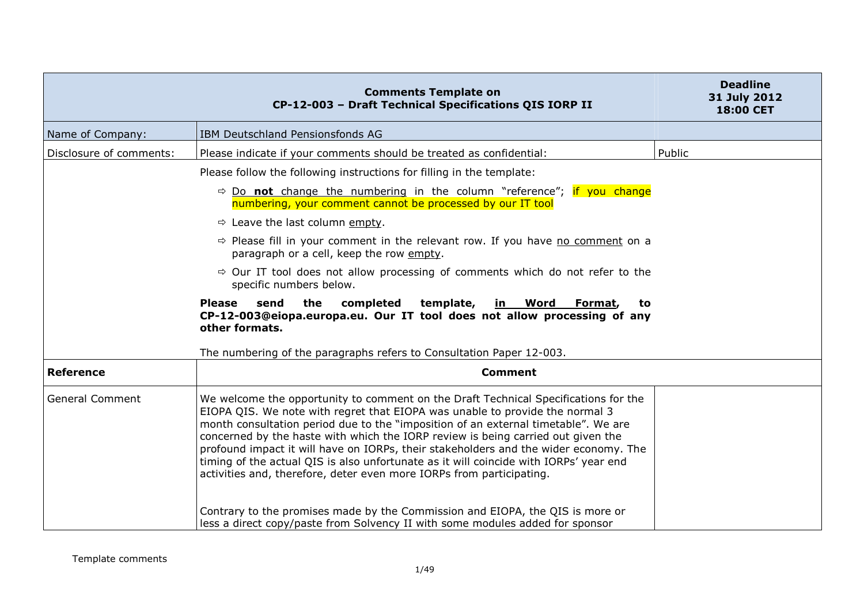|                         | <b>Comments Template on</b><br>CP-12-003 - Draft Technical Specifications QIS IORP II                                                                                                                                                                                                                                                                                                                                                                                                                                                                                                                  | <b>Deadline</b><br>31 July 2012<br>18:00 CET |
|-------------------------|--------------------------------------------------------------------------------------------------------------------------------------------------------------------------------------------------------------------------------------------------------------------------------------------------------------------------------------------------------------------------------------------------------------------------------------------------------------------------------------------------------------------------------------------------------------------------------------------------------|----------------------------------------------|
| Name of Company:        | IBM Deutschland Pensionsfonds AG                                                                                                                                                                                                                                                                                                                                                                                                                                                                                                                                                                       |                                              |
| Disclosure of comments: | Please indicate if your comments should be treated as confidential:                                                                                                                                                                                                                                                                                                                                                                                                                                                                                                                                    | Public                                       |
|                         | Please follow the following instructions for filling in the template:                                                                                                                                                                                                                                                                                                                                                                                                                                                                                                                                  |                                              |
|                         | $\Rightarrow$ Do <b>not</b> change the numbering in the column "reference"; if you change<br>numbering, your comment cannot be processed by our IT tool                                                                                                                                                                                                                                                                                                                                                                                                                                                |                                              |
|                         | $\Rightarrow$ Leave the last column empty.                                                                                                                                                                                                                                                                                                                                                                                                                                                                                                                                                             |                                              |
|                         | $\Rightarrow$ Please fill in your comment in the relevant row. If you have no comment on a<br>paragraph or a cell, keep the row empty.                                                                                                                                                                                                                                                                                                                                                                                                                                                                 |                                              |
|                         | $\Rightarrow$ Our IT tool does not allow processing of comments which do not refer to the<br>specific numbers below.                                                                                                                                                                                                                                                                                                                                                                                                                                                                                   |                                              |
|                         | the<br>completed<br>template,<br><b>Please</b><br>send<br><u>in Word Format,</u><br>to<br>CP-12-003@eiopa.europa.eu. Our IT tool does not allow processing of any<br>other formats.                                                                                                                                                                                                                                                                                                                                                                                                                    |                                              |
|                         | The numbering of the paragraphs refers to Consultation Paper 12-003.                                                                                                                                                                                                                                                                                                                                                                                                                                                                                                                                   |                                              |
| <b>Reference</b>        | <b>Comment</b>                                                                                                                                                                                                                                                                                                                                                                                                                                                                                                                                                                                         |                                              |
| <b>General Comment</b>  | We welcome the opportunity to comment on the Draft Technical Specifications for the<br>EIOPA QIS. We note with regret that EIOPA was unable to provide the normal 3<br>month consultation period due to the "imposition of an external timetable". We are<br>concerned by the haste with which the IORP review is being carried out given the<br>profound impact it will have on IORPs, their stakeholders and the wider economy. The<br>timing of the actual QIS is also unfortunate as it will coincide with IORPs' year end<br>activities and, therefore, deter even more IORPs from participating. |                                              |
|                         | Contrary to the promises made by the Commission and EIOPA, the QIS is more or<br>less a direct copy/paste from Solvency II with some modules added for sponsor                                                                                                                                                                                                                                                                                                                                                                                                                                         |                                              |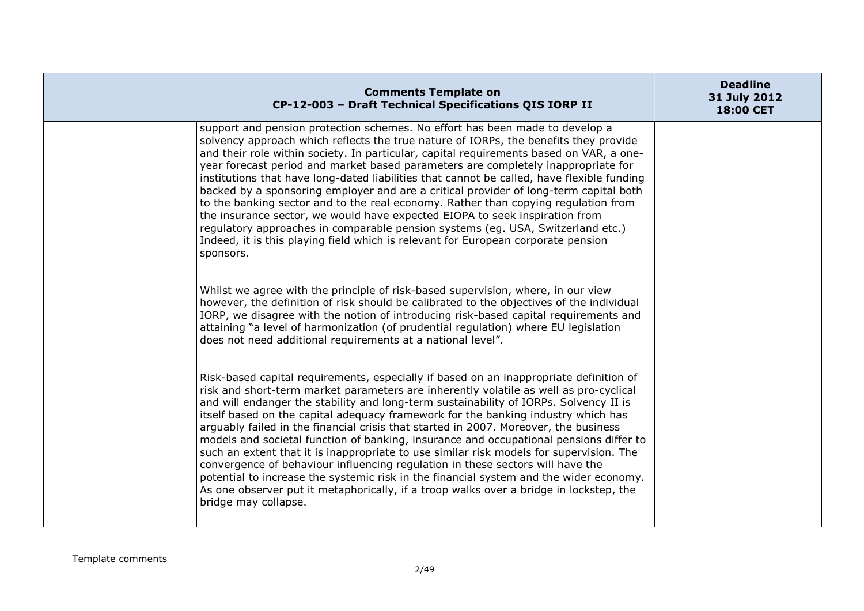| <b>Comments Template on</b><br>CP-12-003 - Draft Technical Specifications QIS IORP II                                                                                                                                                                                                                                                                                                                                                                                                                                                                                                                                                                                                                                                                                                                                                                                                                                                    | <b>Deadline</b><br>31 July 2012<br>18:00 CET |
|------------------------------------------------------------------------------------------------------------------------------------------------------------------------------------------------------------------------------------------------------------------------------------------------------------------------------------------------------------------------------------------------------------------------------------------------------------------------------------------------------------------------------------------------------------------------------------------------------------------------------------------------------------------------------------------------------------------------------------------------------------------------------------------------------------------------------------------------------------------------------------------------------------------------------------------|----------------------------------------------|
| support and pension protection schemes. No effort has been made to develop a<br>solvency approach which reflects the true nature of IORPs, the benefits they provide<br>and their role within society. In particular, capital requirements based on VAR, a one-<br>year forecast period and market based parameters are completely inappropriate for<br>institutions that have long-dated liabilities that cannot be called, have flexible funding<br>backed by a sponsoring employer and are a critical provider of long-term capital both<br>to the banking sector and to the real economy. Rather than copying regulation from<br>the insurance sector, we would have expected EIOPA to seek inspiration from<br>regulatory approaches in comparable pension systems (eq. USA, Switzerland etc.)<br>Indeed, it is this playing field which is relevant for European corporate pension<br>sponsors.                                    |                                              |
| Whilst we agree with the principle of risk-based supervision, where, in our view<br>however, the definition of risk should be calibrated to the objectives of the individual<br>IORP, we disagree with the notion of introducing risk-based capital requirements and<br>attaining "a level of harmonization (of prudential regulation) where EU legislation<br>does not need additional requirements at a national level".                                                                                                                                                                                                                                                                                                                                                                                                                                                                                                               |                                              |
| Risk-based capital requirements, especially if based on an inappropriate definition of<br>risk and short-term market parameters are inherently volatile as well as pro-cyclical<br>and will endanger the stability and long-term sustainability of IORPs. Solvency II is<br>itself based on the capital adequacy framework for the banking industry which has<br>arguably failed in the financial crisis that started in 2007. Moreover, the business<br>models and societal function of banking, insurance and occupational pensions differ to<br>such an extent that it is inappropriate to use similar risk models for supervision. The<br>convergence of behaviour influencing regulation in these sectors will have the<br>potential to increase the systemic risk in the financial system and the wider economy.<br>As one observer put it metaphorically, if a troop walks over a bridge in lockstep, the<br>bridge may collapse. |                                              |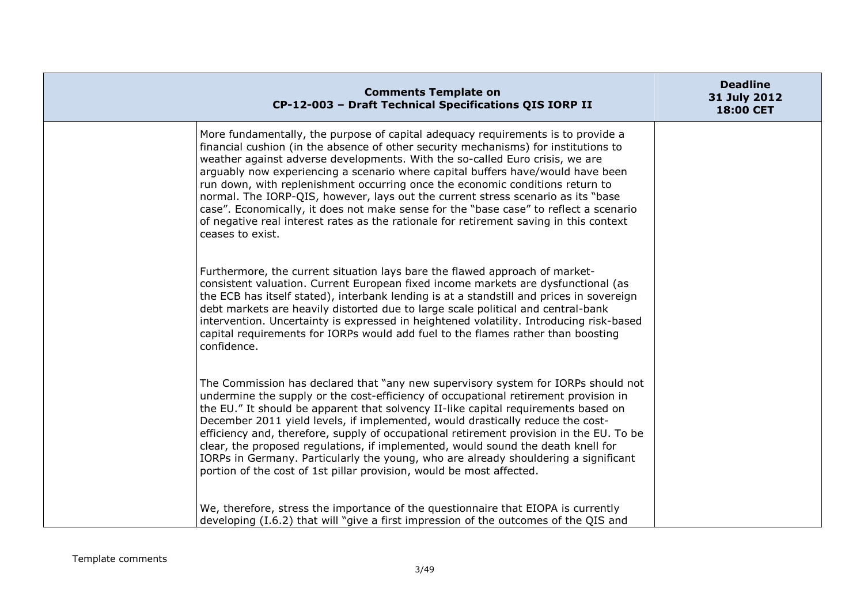| <b>Comments Template on</b><br>CP-12-003 - Draft Technical Specifications QIS IORP II                                                                                                                                                                                                                                                                                                                                                                                                                                                                                                                                                                                                                                  | <b>Deadline</b><br>31 July 2012<br>18:00 CET |
|------------------------------------------------------------------------------------------------------------------------------------------------------------------------------------------------------------------------------------------------------------------------------------------------------------------------------------------------------------------------------------------------------------------------------------------------------------------------------------------------------------------------------------------------------------------------------------------------------------------------------------------------------------------------------------------------------------------------|----------------------------------------------|
| More fundamentally, the purpose of capital adequacy requirements is to provide a<br>financial cushion (in the absence of other security mechanisms) for institutions to<br>weather against adverse developments. With the so-called Euro crisis, we are<br>arguably now experiencing a scenario where capital buffers have/would have been<br>run down, with replenishment occurring once the economic conditions return to<br>normal. The IORP-QIS, however, lays out the current stress scenario as its "base<br>case". Economically, it does not make sense for the "base case" to reflect a scenario<br>of negative real interest rates as the rationale for retirement saving in this context<br>ceases to exist. |                                              |
| Furthermore, the current situation lays bare the flawed approach of market-<br>consistent valuation. Current European fixed income markets are dysfunctional (as<br>the ECB has itself stated), interbank lending is at a standstill and prices in sovereign<br>debt markets are heavily distorted due to large scale political and central-bank<br>intervention. Uncertainty is expressed in heightened volatility. Introducing risk-based<br>capital requirements for IORPs would add fuel to the flames rather than boosting<br>confidence.                                                                                                                                                                         |                                              |
| The Commission has declared that "any new supervisory system for IORPs should not<br>undermine the supply or the cost-efficiency of occupational retirement provision in<br>the EU." It should be apparent that solvency II-like capital requirements based on<br>December 2011 yield levels, if implemented, would drastically reduce the cost-<br>efficiency and, therefore, supply of occupational retirement provision in the EU. To be<br>clear, the proposed regulations, if implemented, would sound the death knell for<br>IORPs in Germany. Particularly the young, who are already shouldering a significant<br>portion of the cost of 1st pillar provision, would be most affected.                         |                                              |
| We, therefore, stress the importance of the questionnaire that EIOPA is currently<br>developing (I.6.2) that will "give a first impression of the outcomes of the QIS and                                                                                                                                                                                                                                                                                                                                                                                                                                                                                                                                              |                                              |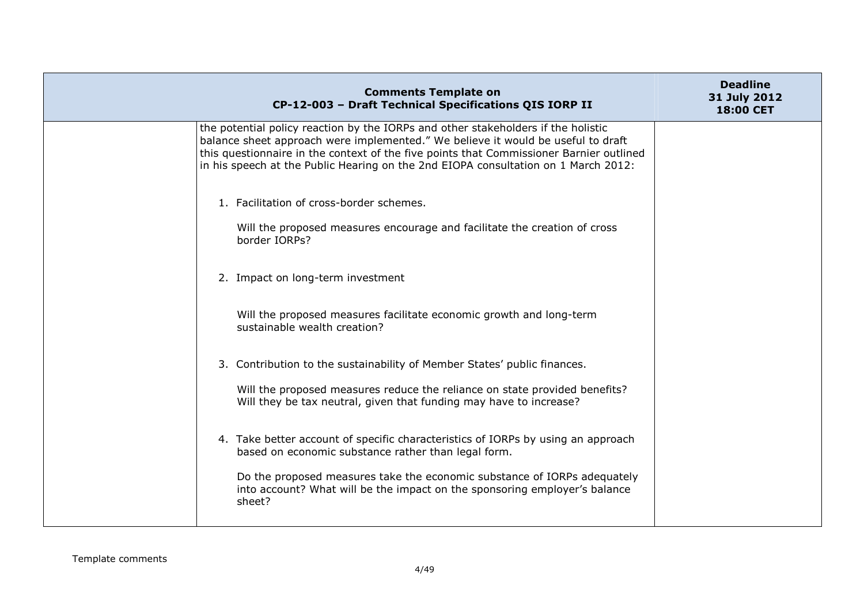| <b>Comments Template on</b><br>CP-12-003 - Draft Technical Specifications QIS IORP II                                                                                                                                                                                                                                                                  | <b>Deadline</b><br>31 July 2012<br><b>18:00 CET</b> |
|--------------------------------------------------------------------------------------------------------------------------------------------------------------------------------------------------------------------------------------------------------------------------------------------------------------------------------------------------------|-----------------------------------------------------|
| the potential policy reaction by the IORPs and other stakeholders if the holistic<br>balance sheet approach were implemented." We believe it would be useful to draft<br>this questionnaire in the context of the five points that Commissioner Barnier outlined<br>in his speech at the Public Hearing on the 2nd EIOPA consultation on 1 March 2012: |                                                     |
| 1. Facilitation of cross-border schemes.<br>Will the proposed measures encourage and facilitate the creation of cross<br>border IORPs?                                                                                                                                                                                                                 |                                                     |
| 2. Impact on long-term investment                                                                                                                                                                                                                                                                                                                      |                                                     |
| Will the proposed measures facilitate economic growth and long-term<br>sustainable wealth creation?                                                                                                                                                                                                                                                    |                                                     |
| 3. Contribution to the sustainability of Member States' public finances.                                                                                                                                                                                                                                                                               |                                                     |
| Will the proposed measures reduce the reliance on state provided benefits?<br>Will they be tax neutral, given that funding may have to increase?                                                                                                                                                                                                       |                                                     |
| 4. Take better account of specific characteristics of IORPs by using an approach<br>based on economic substance rather than legal form.                                                                                                                                                                                                                |                                                     |
| Do the proposed measures take the economic substance of IORPs adequately<br>into account? What will be the impact on the sponsoring employer's balance<br>sheet?                                                                                                                                                                                       |                                                     |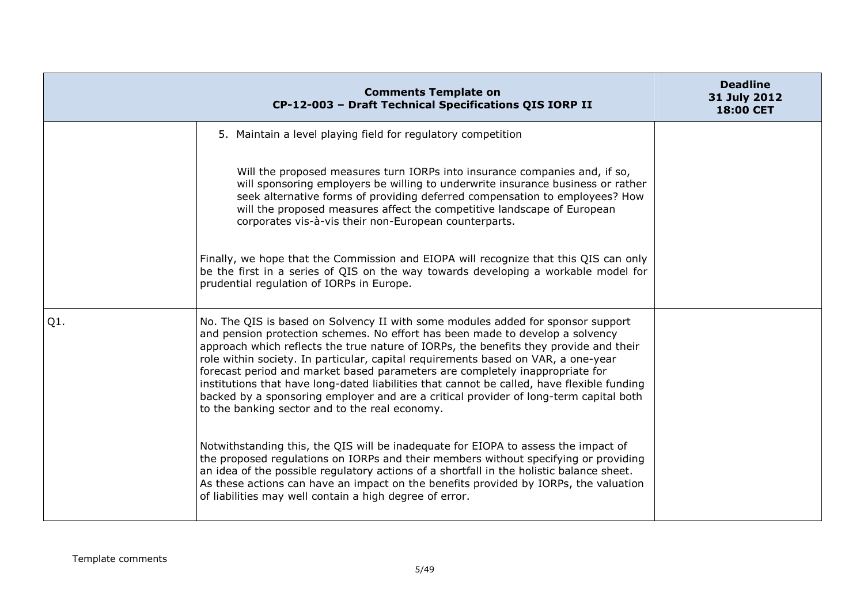|        | <b>Comments Template on</b><br>CP-12-003 - Draft Technical Specifications QIS IORP II                                                                                                                                                                                                                                                                                                                                                                                                                                                                                                                                                                                   | <b>Deadline</b><br>31 July 2012<br>18:00 CET |
|--------|-------------------------------------------------------------------------------------------------------------------------------------------------------------------------------------------------------------------------------------------------------------------------------------------------------------------------------------------------------------------------------------------------------------------------------------------------------------------------------------------------------------------------------------------------------------------------------------------------------------------------------------------------------------------------|----------------------------------------------|
|        | 5. Maintain a level playing field for regulatory competition                                                                                                                                                                                                                                                                                                                                                                                                                                                                                                                                                                                                            |                                              |
|        | Will the proposed measures turn IORPs into insurance companies and, if so,<br>will sponsoring employers be willing to underwrite insurance business or rather<br>seek alternative forms of providing deferred compensation to employees? How<br>will the proposed measures affect the competitive landscape of European<br>corporates vis-à-vis their non-European counterparts.                                                                                                                                                                                                                                                                                        |                                              |
|        | Finally, we hope that the Commission and EIOPA will recognize that this QIS can only<br>be the first in a series of QIS on the way towards developing a workable model for<br>prudential regulation of IORPs in Europe.                                                                                                                                                                                                                                                                                                                                                                                                                                                 |                                              |
| $Q1$ . | No. The QIS is based on Solvency II with some modules added for sponsor support<br>and pension protection schemes. No effort has been made to develop a solvency<br>approach which reflects the true nature of IORPs, the benefits they provide and their<br>role within society. In particular, capital requirements based on VAR, a one-year<br>forecast period and market based parameters are completely inappropriate for<br>institutions that have long-dated liabilities that cannot be called, have flexible funding<br>backed by a sponsoring employer and are a critical provider of long-term capital both<br>to the banking sector and to the real economy. |                                              |
|        | Notwithstanding this, the QIS will be inadequate for EIOPA to assess the impact of<br>the proposed regulations on IORPs and their members without specifying or providing<br>an idea of the possible regulatory actions of a shortfall in the holistic balance sheet.<br>As these actions can have an impact on the benefits provided by IORPs, the valuation<br>of liabilities may well contain a high degree of error.                                                                                                                                                                                                                                                |                                              |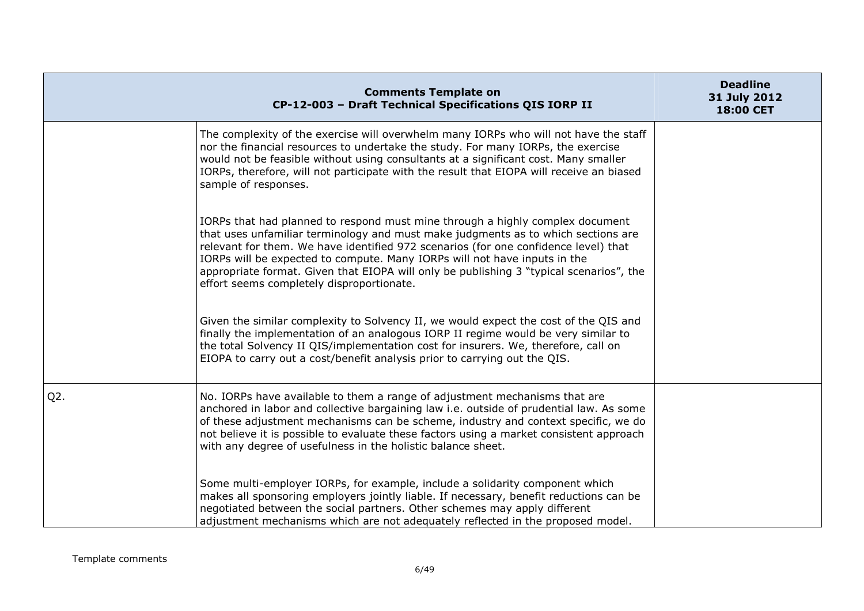|        | <b>Comments Template on</b><br>CP-12-003 - Draft Technical Specifications QIS IORP II                                                                                                                                                                                                                                                                                                                                                                                          | <b>Deadline</b><br>31 July 2012<br>18:00 CET |
|--------|--------------------------------------------------------------------------------------------------------------------------------------------------------------------------------------------------------------------------------------------------------------------------------------------------------------------------------------------------------------------------------------------------------------------------------------------------------------------------------|----------------------------------------------|
|        | The complexity of the exercise will overwhelm many IORPs who will not have the staff<br>nor the financial resources to undertake the study. For many IORPs, the exercise<br>would not be feasible without using consultants at a significant cost. Many smaller<br>IORPs, therefore, will not participate with the result that EIOPA will receive an biased<br>sample of responses.                                                                                            |                                              |
|        | IORPs that had planned to respond must mine through a highly complex document<br>that uses unfamiliar terminology and must make judgments as to which sections are<br>relevant for them. We have identified 972 scenarios (for one confidence level) that<br>IORPs will be expected to compute. Many IORPs will not have inputs in the<br>appropriate format. Given that EIOPA will only be publishing 3 "typical scenarios", the<br>effort seems completely disproportionate. |                                              |
|        | Given the similar complexity to Solvency II, we would expect the cost of the QIS and<br>finally the implementation of an analogous IORP II regime would be very similar to<br>the total Solvency II QIS/implementation cost for insurers. We, therefore, call on<br>EIOPA to carry out a cost/benefit analysis prior to carrying out the QIS.                                                                                                                                  |                                              |
| $Q2$ . | No. IORPs have available to them a range of adjustment mechanisms that are<br>anchored in labor and collective bargaining law i.e. outside of prudential law. As some<br>of these adjustment mechanisms can be scheme, industry and context specific, we do<br>not believe it is possible to evaluate these factors using a market consistent approach<br>with any degree of usefulness in the holistic balance sheet.                                                         |                                              |
|        | Some multi-employer IORPs, for example, include a solidarity component which<br>makes all sponsoring employers jointly liable. If necessary, benefit reductions can be<br>negotiated between the social partners. Other schemes may apply different<br>adjustment mechanisms which are not adequately reflected in the proposed model.                                                                                                                                         |                                              |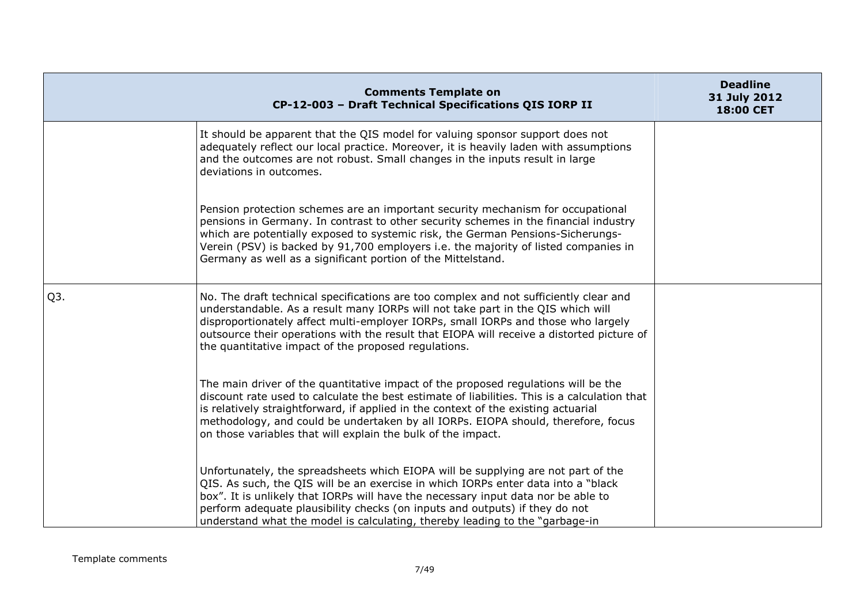|                  | <b>Comments Template on</b><br>CP-12-003 - Draft Technical Specifications QIS IORP II                                                                                                                                                                                                                                                                                                                                         | <b>Deadline</b><br>31 July 2012<br>18:00 CET |
|------------------|-------------------------------------------------------------------------------------------------------------------------------------------------------------------------------------------------------------------------------------------------------------------------------------------------------------------------------------------------------------------------------------------------------------------------------|----------------------------------------------|
|                  | It should be apparent that the QIS model for valuing sponsor support does not<br>adequately reflect our local practice. Moreover, it is heavily laden with assumptions<br>and the outcomes are not robust. Small changes in the inputs result in large<br>deviations in outcomes.                                                                                                                                             |                                              |
|                  | Pension protection schemes are an important security mechanism for occupational<br>pensions in Germany. In contrast to other security schemes in the financial industry<br>which are potentially exposed to systemic risk, the German Pensions-Sicherungs-<br>Verein (PSV) is backed by 91,700 employers i.e. the majority of listed companies in<br>Germany as well as a significant portion of the Mittelstand.             |                                              |
| Q <sub>3</sub> . | No. The draft technical specifications are too complex and not sufficiently clear and<br>understandable. As a result many IORPs will not take part in the QIS which will<br>disproportionately affect multi-employer IORPs, small IORPs and those who largely<br>outsource their operations with the result that EIOPA will receive a distorted picture of<br>the quantitative impact of the proposed regulations.            |                                              |
|                  | The main driver of the quantitative impact of the proposed regulations will be the<br>discount rate used to calculate the best estimate of liabilities. This is a calculation that<br>is relatively straightforward, if applied in the context of the existing actuarial<br>methodology, and could be undertaken by all IORPs. EIOPA should, therefore, focus<br>on those variables that will explain the bulk of the impact. |                                              |
|                  | Unfortunately, the spreadsheets which EIOPA will be supplying are not part of the<br>QIS. As such, the QIS will be an exercise in which IORPs enter data into a "black<br>box". It is unlikely that IORPs will have the necessary input data nor be able to<br>perform adequate plausibility checks (on inputs and outputs) if they do not<br>understand what the model is calculating, thereby leading to the "garbage-in"   |                                              |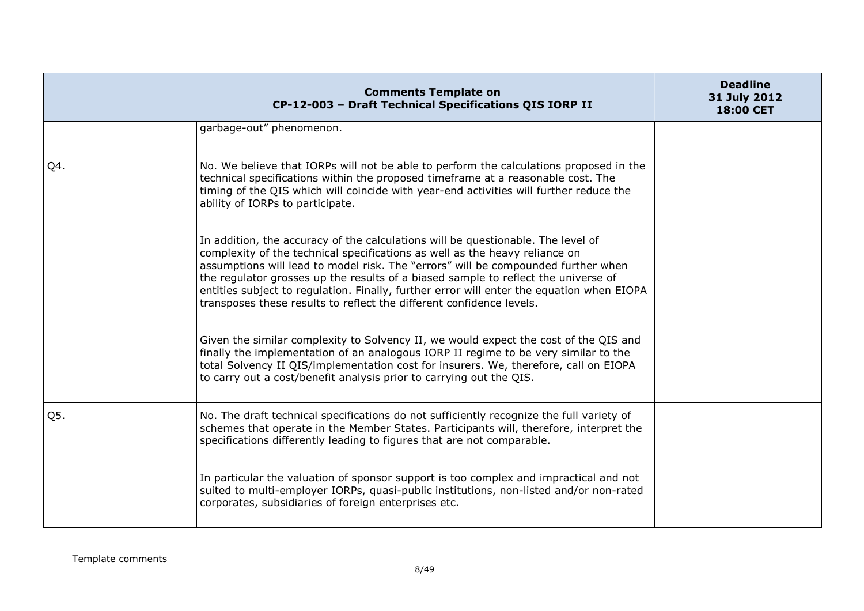|     | <b>Comments Template on</b><br>CP-12-003 - Draft Technical Specifications QIS IORP II                                                                                                                                                                                                                                                                                                                                                                                                                           | <b>Deadline</b><br>31 July 2012<br>18:00 CET |
|-----|-----------------------------------------------------------------------------------------------------------------------------------------------------------------------------------------------------------------------------------------------------------------------------------------------------------------------------------------------------------------------------------------------------------------------------------------------------------------------------------------------------------------|----------------------------------------------|
|     | garbage-out" phenomenon.                                                                                                                                                                                                                                                                                                                                                                                                                                                                                        |                                              |
| Q4. | No. We believe that IORPs will not be able to perform the calculations proposed in the<br>technical specifications within the proposed timeframe at a reasonable cost. The<br>timing of the QIS which will coincide with year-end activities will further reduce the<br>ability of IORPs to participate.                                                                                                                                                                                                        |                                              |
|     | In addition, the accuracy of the calculations will be questionable. The level of<br>complexity of the technical specifications as well as the heavy reliance on<br>assumptions will lead to model risk. The "errors" will be compounded further when<br>the regulator grosses up the results of a biased sample to reflect the universe of<br>entities subject to regulation. Finally, further error will enter the equation when EIOPA<br>transposes these results to reflect the different confidence levels. |                                              |
|     | Given the similar complexity to Solvency II, we would expect the cost of the QIS and<br>finally the implementation of an analogous IORP II regime to be very similar to the<br>total Solvency II QIS/implementation cost for insurers. We, therefore, call on EIOPA<br>to carry out a cost/benefit analysis prior to carrying out the QIS.                                                                                                                                                                      |                                              |
| Q5. | No. The draft technical specifications do not sufficiently recognize the full variety of<br>schemes that operate in the Member States. Participants will, therefore, interpret the<br>specifications differently leading to figures that are not comparable.                                                                                                                                                                                                                                                    |                                              |
|     | In particular the valuation of sponsor support is too complex and impractical and not<br>suited to multi-employer IORPs, quasi-public institutions, non-listed and/or non-rated<br>corporates, subsidiaries of foreign enterprises etc.                                                                                                                                                                                                                                                                         |                                              |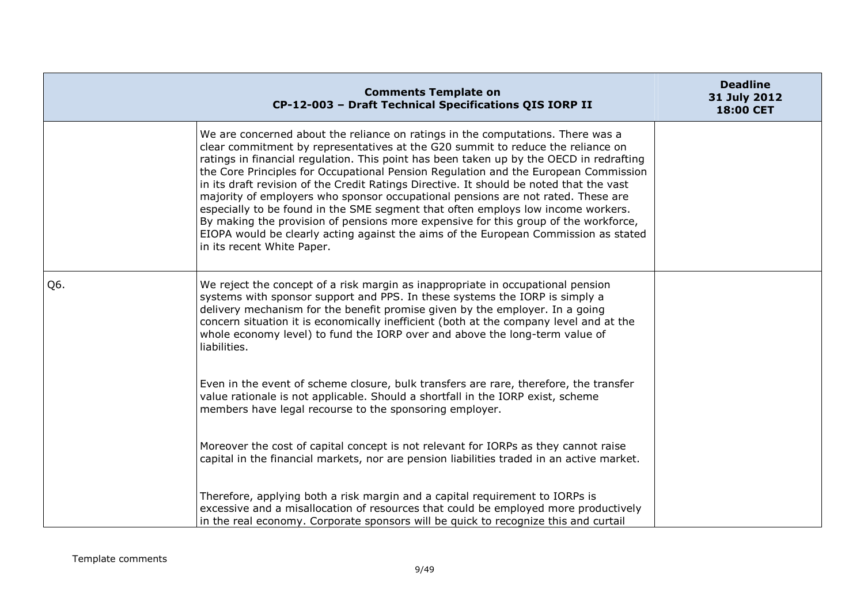|     | <b>Comments Template on</b><br>CP-12-003 - Draft Technical Specifications QIS IORP II                                                                                                                                                                                                                                                                                                                                                                                                                                                                                                                                                                                                                                                                                                                                               | <b>Deadline</b><br>31 July 2012<br>18:00 CET |
|-----|-------------------------------------------------------------------------------------------------------------------------------------------------------------------------------------------------------------------------------------------------------------------------------------------------------------------------------------------------------------------------------------------------------------------------------------------------------------------------------------------------------------------------------------------------------------------------------------------------------------------------------------------------------------------------------------------------------------------------------------------------------------------------------------------------------------------------------------|----------------------------------------------|
|     | We are concerned about the reliance on ratings in the computations. There was a<br>clear commitment by representatives at the G20 summit to reduce the reliance on<br>ratings in financial regulation. This point has been taken up by the OECD in redrafting<br>the Core Principles for Occupational Pension Regulation and the European Commission<br>in its draft revision of the Credit Ratings Directive. It should be noted that the vast<br>majority of employers who sponsor occupational pensions are not rated. These are<br>especially to be found in the SME segment that often employs low income workers.<br>By making the provision of pensions more expensive for this group of the workforce,<br>EIOPA would be clearly acting against the aims of the European Commission as stated<br>in its recent White Paper. |                                              |
| Q6. | We reject the concept of a risk margin as inappropriate in occupational pension<br>systems with sponsor support and PPS. In these systems the IORP is simply a<br>delivery mechanism for the benefit promise given by the employer. In a going<br>concern situation it is economically inefficient (both at the company level and at the<br>whole economy level) to fund the IORP over and above the long-term value of<br>liabilities.                                                                                                                                                                                                                                                                                                                                                                                             |                                              |
|     | Even in the event of scheme closure, bulk transfers are rare, therefore, the transfer<br>value rationale is not applicable. Should a shortfall in the IORP exist, scheme<br>members have legal recourse to the sponsoring employer.                                                                                                                                                                                                                                                                                                                                                                                                                                                                                                                                                                                                 |                                              |
|     | Moreover the cost of capital concept is not relevant for IORPs as they cannot raise<br>capital in the financial markets, nor are pension liabilities traded in an active market.                                                                                                                                                                                                                                                                                                                                                                                                                                                                                                                                                                                                                                                    |                                              |
|     | Therefore, applying both a risk margin and a capital requirement to IORPs is<br>excessive and a misallocation of resources that could be employed more productively<br>in the real economy. Corporate sponsors will be quick to recognize this and curtail                                                                                                                                                                                                                                                                                                                                                                                                                                                                                                                                                                          |                                              |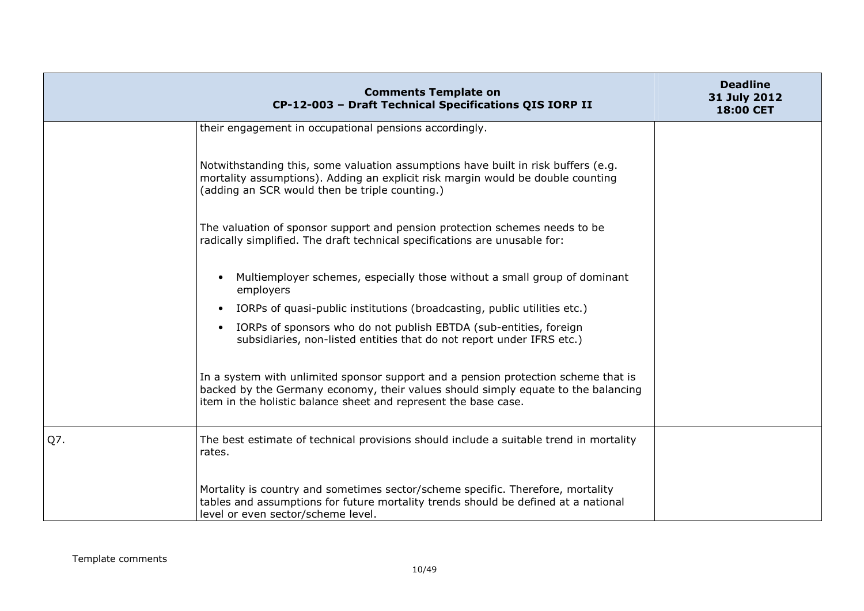|     | <b>Comments Template on</b><br>CP-12-003 - Draft Technical Specifications QIS IORP II                                                                                                                                                      | <b>Deadline</b><br>31 July 2012<br>18:00 CET |
|-----|--------------------------------------------------------------------------------------------------------------------------------------------------------------------------------------------------------------------------------------------|----------------------------------------------|
|     | their engagement in occupational pensions accordingly.                                                                                                                                                                                     |                                              |
|     | Notwithstanding this, some valuation assumptions have built in risk buffers (e.g.<br>mortality assumptions). Adding an explicit risk margin would be double counting<br>(adding an SCR would then be triple counting.)                     |                                              |
|     | The valuation of sponsor support and pension protection schemes needs to be<br>radically simplified. The draft technical specifications are unusable for:                                                                                  |                                              |
|     | Multiemployer schemes, especially those without a small group of dominant<br>$\bullet$<br>employers                                                                                                                                        |                                              |
|     | IORPs of quasi-public institutions (broadcasting, public utilities etc.)<br>$\bullet$                                                                                                                                                      |                                              |
|     | IORPs of sponsors who do not publish EBTDA (sub-entities, foreign<br>$\bullet$<br>subsidiaries, non-listed entities that do not report under IFRS etc.)                                                                                    |                                              |
|     | In a system with unlimited sponsor support and a pension protection scheme that is<br>backed by the Germany economy, their values should simply equate to the balancing<br>item in the holistic balance sheet and represent the base case. |                                              |
| Q7. | The best estimate of technical provisions should include a suitable trend in mortality<br>rates.                                                                                                                                           |                                              |
|     | Mortality is country and sometimes sector/scheme specific. Therefore, mortality<br>tables and assumptions for future mortality trends should be defined at a national<br>level or even sector/scheme level.                                |                                              |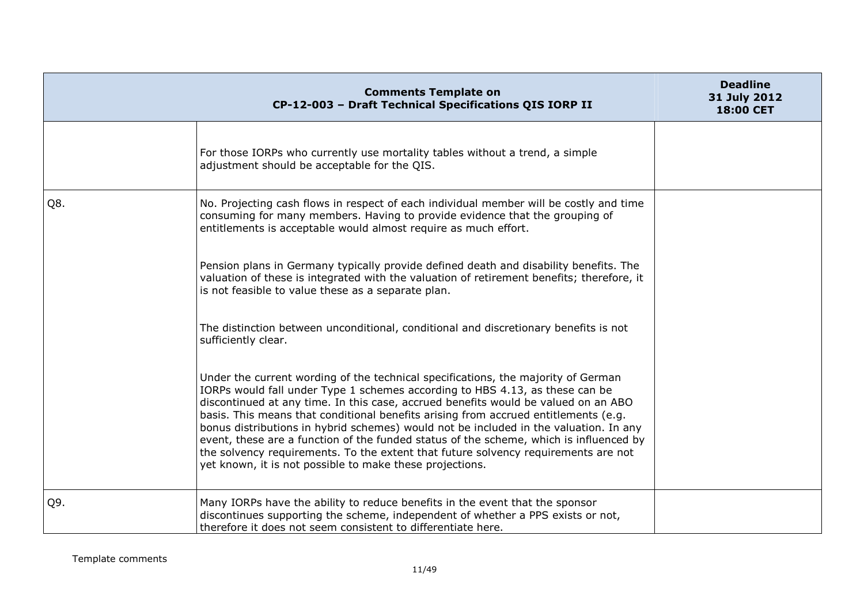|     | <b>Comments Template on</b><br>CP-12-003 - Draft Technical Specifications QIS IORP II                                                                                                                                                                                                                                                                                                                                                                                                                                                                                                                                                                                               | <b>Deadline</b><br>31 July 2012<br>18:00 CET |
|-----|-------------------------------------------------------------------------------------------------------------------------------------------------------------------------------------------------------------------------------------------------------------------------------------------------------------------------------------------------------------------------------------------------------------------------------------------------------------------------------------------------------------------------------------------------------------------------------------------------------------------------------------------------------------------------------------|----------------------------------------------|
|     | For those IORPs who currently use mortality tables without a trend, a simple<br>adjustment should be acceptable for the QIS.                                                                                                                                                                                                                                                                                                                                                                                                                                                                                                                                                        |                                              |
| Q8. | No. Projecting cash flows in respect of each individual member will be costly and time<br>consuming for many members. Having to provide evidence that the grouping of<br>entitlements is acceptable would almost require as much effort.                                                                                                                                                                                                                                                                                                                                                                                                                                            |                                              |
|     | Pension plans in Germany typically provide defined death and disability benefits. The<br>valuation of these is integrated with the valuation of retirement benefits; therefore, it<br>is not feasible to value these as a separate plan.                                                                                                                                                                                                                                                                                                                                                                                                                                            |                                              |
|     | The distinction between unconditional, conditional and discretionary benefits is not<br>sufficiently clear.                                                                                                                                                                                                                                                                                                                                                                                                                                                                                                                                                                         |                                              |
|     | Under the current wording of the technical specifications, the majority of German<br>IORPs would fall under Type 1 schemes according to HBS 4.13, as these can be<br>discontinued at any time. In this case, accrued benefits would be valued on an ABO<br>basis. This means that conditional benefits arising from accrued entitlements (e.g.<br>bonus distributions in hybrid schemes) would not be included in the valuation. In any<br>event, these are a function of the funded status of the scheme, which is influenced by<br>the solvency requirements. To the extent that future solvency requirements are not<br>yet known, it is not possible to make these projections. |                                              |
| Q9. | Many IORPs have the ability to reduce benefits in the event that the sponsor<br>discontinues supporting the scheme, independent of whether a PPS exists or not,<br>therefore it does not seem consistent to differentiate here.                                                                                                                                                                                                                                                                                                                                                                                                                                                     |                                              |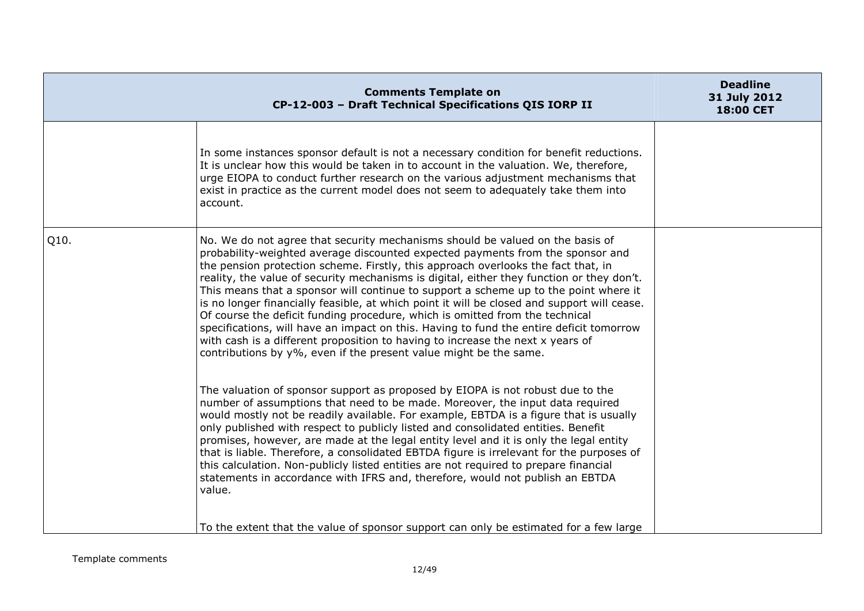| In some instances sponsor default is not a necessary condition for benefit reductions.<br>It is unclear how this would be taken in to account in the valuation. We, therefore,<br>urge EIOPA to conduct further research on the various adjustment mechanisms that<br>exist in practice as the current model does not seem to adequately take them into<br>account.                                                                                                                                                                                                                                                                                                                                                                                                                                                                                                        |                                                                                       |
|----------------------------------------------------------------------------------------------------------------------------------------------------------------------------------------------------------------------------------------------------------------------------------------------------------------------------------------------------------------------------------------------------------------------------------------------------------------------------------------------------------------------------------------------------------------------------------------------------------------------------------------------------------------------------------------------------------------------------------------------------------------------------------------------------------------------------------------------------------------------------|---------------------------------------------------------------------------------------|
| No. We do not agree that security mechanisms should be valued on the basis of<br>probability-weighted average discounted expected payments from the sponsor and<br>the pension protection scheme. Firstly, this approach overlooks the fact that, in<br>reality, the value of security mechanisms is digital, either they function or they don't.<br>This means that a sponsor will continue to support a scheme up to the point where it<br>is no longer financially feasible, at which point it will be closed and support will cease.<br>Of course the deficit funding procedure, which is omitted from the technical<br>specifications, will have an impact on this. Having to fund the entire deficit tomorrow<br>with cash is a different proposition to having to increase the next x years of<br>contributions by y%, even if the present value might be the same. |                                                                                       |
| The valuation of sponsor support as proposed by EIOPA is not robust due to the<br>number of assumptions that need to be made. Moreover, the input data required<br>would mostly not be readily available. For example, EBTDA is a figure that is usually<br>only published with respect to publicly listed and consolidated entities. Benefit<br>promises, however, are made at the legal entity level and it is only the legal entity<br>that is liable. Therefore, a consolidated EBTDA figure is irrelevant for the purposes of<br>this calculation. Non-publicly listed entities are not required to prepare financial<br>statements in accordance with IFRS and, therefore, would not publish an EBTDA<br>value.                                                                                                                                                      |                                                                                       |
|                                                                                                                                                                                                                                                                                                                                                                                                                                                                                                                                                                                                                                                                                                                                                                                                                                                                            | To the extent that the value of sponsor support can only be estimated for a few large |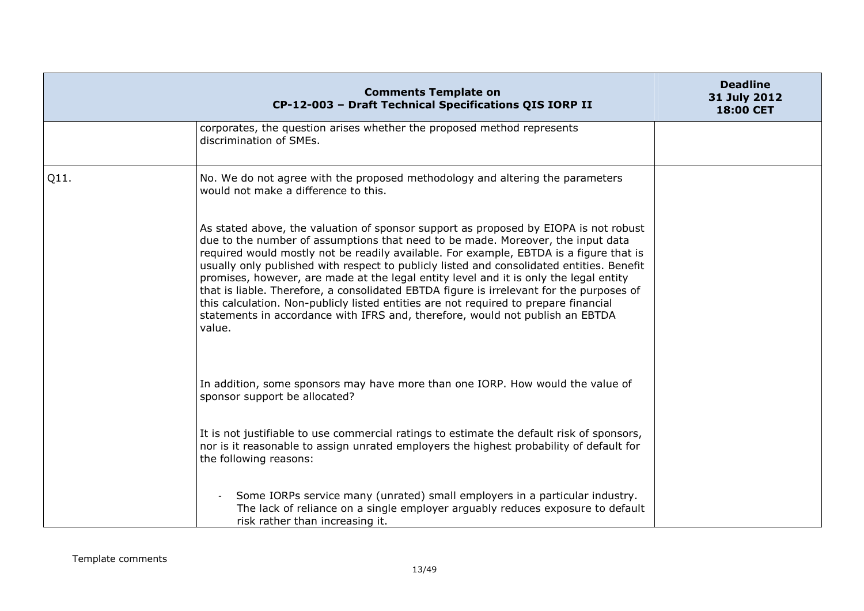|      | <b>Comments Template on</b><br>CP-12-003 - Draft Technical Specifications QIS IORP II                                                                                                                                                                                                                                                                                                                                                                                                                                                                                                                                                                                                                                                  | <b>Deadline</b><br>31 July 2012<br>18:00 CET |
|------|----------------------------------------------------------------------------------------------------------------------------------------------------------------------------------------------------------------------------------------------------------------------------------------------------------------------------------------------------------------------------------------------------------------------------------------------------------------------------------------------------------------------------------------------------------------------------------------------------------------------------------------------------------------------------------------------------------------------------------------|----------------------------------------------|
|      | corporates, the question arises whether the proposed method represents<br>discrimination of SMEs.                                                                                                                                                                                                                                                                                                                                                                                                                                                                                                                                                                                                                                      |                                              |
| Q11. | No. We do not agree with the proposed methodology and altering the parameters<br>would not make a difference to this.                                                                                                                                                                                                                                                                                                                                                                                                                                                                                                                                                                                                                  |                                              |
|      | As stated above, the valuation of sponsor support as proposed by EIOPA is not robust<br>due to the number of assumptions that need to be made. Moreover, the input data<br>required would mostly not be readily available. For example, EBTDA is a figure that is<br>usually only published with respect to publicly listed and consolidated entities. Benefit<br>promises, however, are made at the legal entity level and it is only the legal entity<br>that is liable. Therefore, a consolidated EBTDA figure is irrelevant for the purposes of<br>this calculation. Non-publicly listed entities are not required to prepare financial<br>statements in accordance with IFRS and, therefore, would not publish an EBTDA<br>value. |                                              |
|      | In addition, some sponsors may have more than one IORP. How would the value of<br>sponsor support be allocated?                                                                                                                                                                                                                                                                                                                                                                                                                                                                                                                                                                                                                        |                                              |
|      | It is not justifiable to use commercial ratings to estimate the default risk of sponsors,<br>nor is it reasonable to assign unrated employers the highest probability of default for<br>the following reasons:                                                                                                                                                                                                                                                                                                                                                                                                                                                                                                                         |                                              |
|      | Some IORPs service many (unrated) small employers in a particular industry.<br>The lack of reliance on a single employer arguably reduces exposure to default<br>risk rather than increasing it.                                                                                                                                                                                                                                                                                                                                                                                                                                                                                                                                       |                                              |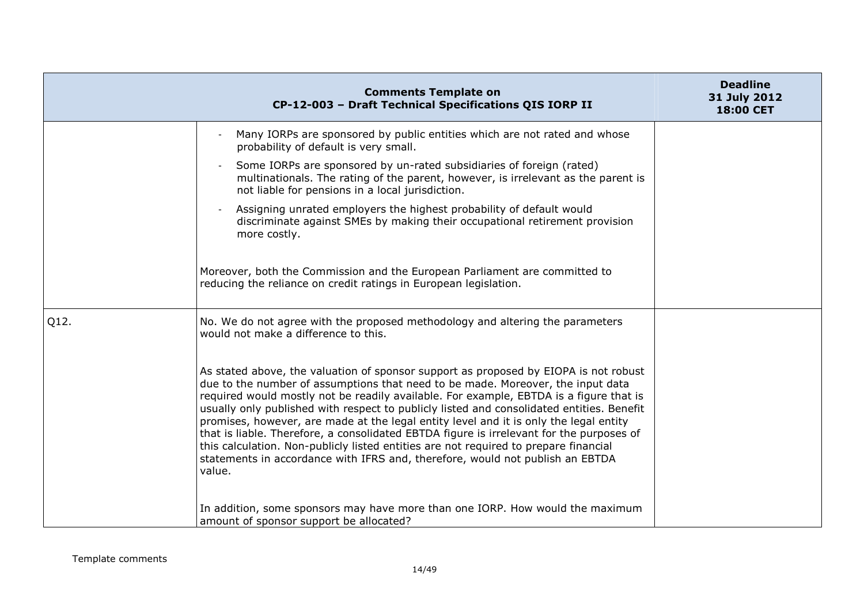|      | <b>Comments Template on</b><br>CP-12-003 - Draft Technical Specifications QIS IORP II                                                                                                                                                                                                                                                                                                                                                                                                                                                                                                                                                                                                                                                  | <b>Deadline</b><br>31 July 2012<br>18:00 CET |
|------|----------------------------------------------------------------------------------------------------------------------------------------------------------------------------------------------------------------------------------------------------------------------------------------------------------------------------------------------------------------------------------------------------------------------------------------------------------------------------------------------------------------------------------------------------------------------------------------------------------------------------------------------------------------------------------------------------------------------------------------|----------------------------------------------|
|      | Many IORPs are sponsored by public entities which are not rated and whose<br>probability of default is very small.                                                                                                                                                                                                                                                                                                                                                                                                                                                                                                                                                                                                                     |                                              |
|      | Some IORPs are sponsored by un-rated subsidiaries of foreign (rated)<br>multinationals. The rating of the parent, however, is irrelevant as the parent is<br>not liable for pensions in a local jurisdiction.                                                                                                                                                                                                                                                                                                                                                                                                                                                                                                                          |                                              |
|      | Assigning unrated employers the highest probability of default would<br>discriminate against SMEs by making their occupational retirement provision<br>more costly.                                                                                                                                                                                                                                                                                                                                                                                                                                                                                                                                                                    |                                              |
|      | Moreover, both the Commission and the European Parliament are committed to<br>reducing the reliance on credit ratings in European legislation.                                                                                                                                                                                                                                                                                                                                                                                                                                                                                                                                                                                         |                                              |
| Q12. | No. We do not agree with the proposed methodology and altering the parameters<br>would not make a difference to this.                                                                                                                                                                                                                                                                                                                                                                                                                                                                                                                                                                                                                  |                                              |
|      | As stated above, the valuation of sponsor support as proposed by EIOPA is not robust<br>due to the number of assumptions that need to be made. Moreover, the input data<br>required would mostly not be readily available. For example, EBTDA is a figure that is<br>usually only published with respect to publicly listed and consolidated entities. Benefit<br>promises, however, are made at the legal entity level and it is only the legal entity<br>that is liable. Therefore, a consolidated EBTDA figure is irrelevant for the purposes of<br>this calculation. Non-publicly listed entities are not required to prepare financial<br>statements in accordance with IFRS and, therefore, would not publish an EBTDA<br>value. |                                              |
|      | In addition, some sponsors may have more than one IORP. How would the maximum<br>amount of sponsor support be allocated?                                                                                                                                                                                                                                                                                                                                                                                                                                                                                                                                                                                                               |                                              |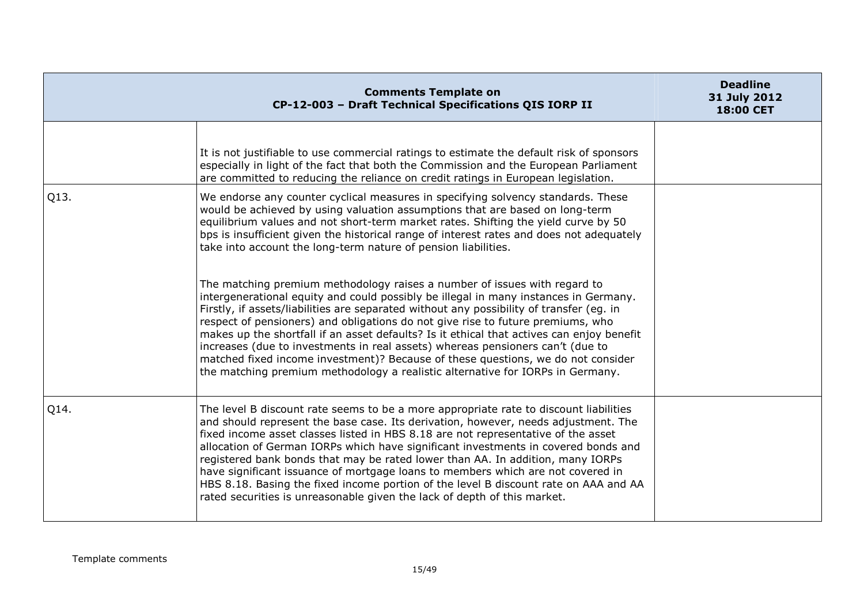|      | <b>Comments Template on</b><br>CP-12-003 - Draft Technical Specifications QIS IORP II                                                                                                                                                                                                                                                                                                                                                                                                                                                                                                                                                                                                                 | <b>Deadline</b><br>31 July 2012<br>18:00 CET |
|------|-------------------------------------------------------------------------------------------------------------------------------------------------------------------------------------------------------------------------------------------------------------------------------------------------------------------------------------------------------------------------------------------------------------------------------------------------------------------------------------------------------------------------------------------------------------------------------------------------------------------------------------------------------------------------------------------------------|----------------------------------------------|
|      | It is not justifiable to use commercial ratings to estimate the default risk of sponsors<br>especially in light of the fact that both the Commission and the European Parliament<br>are committed to reducing the reliance on credit ratings in European legislation.                                                                                                                                                                                                                                                                                                                                                                                                                                 |                                              |
| Q13. | We endorse any counter cyclical measures in specifying solvency standards. These<br>would be achieved by using valuation assumptions that are based on long-term<br>equilibrium values and not short-term market rates. Shifting the yield curve by 50<br>bps is insufficient given the historical range of interest rates and does not adequately<br>take into account the long-term nature of pension liabilities.                                                                                                                                                                                                                                                                                  |                                              |
|      | The matching premium methodology raises a number of issues with regard to<br>intergenerational equity and could possibly be illegal in many instances in Germany.<br>Firstly, if assets/liabilities are separated without any possibility of transfer (eq. in<br>respect of pensioners) and obligations do not give rise to future premiums, who<br>makes up the shortfall if an asset defaults? Is it ethical that actives can enjoy benefit<br>increases (due to investments in real assets) whereas pensioners can't (due to<br>matched fixed income investment)? Because of these questions, we do not consider<br>the matching premium methodology a realistic alternative for IORPs in Germany. |                                              |
| Q14. | The level B discount rate seems to be a more appropriate rate to discount liabilities<br>and should represent the base case. Its derivation, however, needs adjustment. The<br>fixed income asset classes listed in HBS 8.18 are not representative of the asset<br>allocation of German IORPs which have significant investments in covered bonds and<br>registered bank bonds that may be rated lower than AA. In addition, many IORPs<br>have significant issuance of mortgage loans to members which are not covered in<br>HBS 8.18. Basing the fixed income portion of the level B discount rate on AAA and AA<br>rated securities is unreasonable given the lack of depth of this market.       |                                              |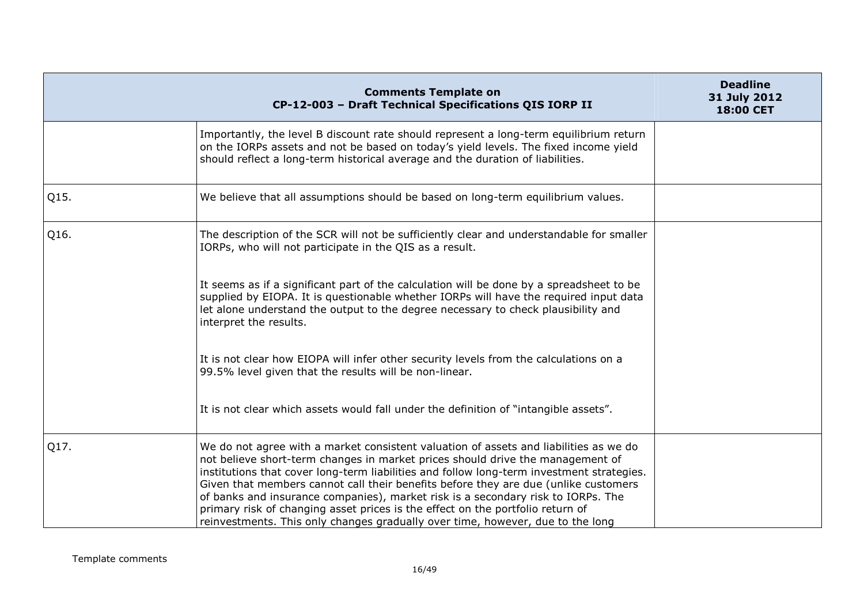|      | <b>Comments Template on</b><br>CP-12-003 - Draft Technical Specifications QIS IORP II                                                                                                                                                                                                                                                                                                                                                                                                                                                                                                                               | <b>Deadline</b><br>31 July 2012<br>18:00 CET |
|------|---------------------------------------------------------------------------------------------------------------------------------------------------------------------------------------------------------------------------------------------------------------------------------------------------------------------------------------------------------------------------------------------------------------------------------------------------------------------------------------------------------------------------------------------------------------------------------------------------------------------|----------------------------------------------|
|      | Importantly, the level B discount rate should represent a long-term equilibrium return<br>on the IORPs assets and not be based on today's yield levels. The fixed income yield<br>should reflect a long-term historical average and the duration of liabilities.                                                                                                                                                                                                                                                                                                                                                    |                                              |
| Q15. | We believe that all assumptions should be based on long-term equilibrium values.                                                                                                                                                                                                                                                                                                                                                                                                                                                                                                                                    |                                              |
| Q16. | The description of the SCR will not be sufficiently clear and understandable for smaller<br>IORPs, who will not participate in the QIS as a result.                                                                                                                                                                                                                                                                                                                                                                                                                                                                 |                                              |
|      | It seems as if a significant part of the calculation will be done by a spreadsheet to be<br>supplied by EIOPA. It is questionable whether IORPs will have the required input data<br>let alone understand the output to the degree necessary to check plausibility and<br>interpret the results.                                                                                                                                                                                                                                                                                                                    |                                              |
|      | It is not clear how EIOPA will infer other security levels from the calculations on a<br>99.5% level given that the results will be non-linear.                                                                                                                                                                                                                                                                                                                                                                                                                                                                     |                                              |
|      | It is not clear which assets would fall under the definition of "intangible assets".                                                                                                                                                                                                                                                                                                                                                                                                                                                                                                                                |                                              |
| Q17. | We do not agree with a market consistent valuation of assets and liabilities as we do<br>not believe short-term changes in market prices should drive the management of<br>institutions that cover long-term liabilities and follow long-term investment strategies.<br>Given that members cannot call their benefits before they are due (unlike customers<br>of banks and insurance companies), market risk is a secondary risk to IORPs. The<br>primary risk of changing asset prices is the effect on the portfolio return of<br>reinvestments. This only changes gradually over time, however, due to the long |                                              |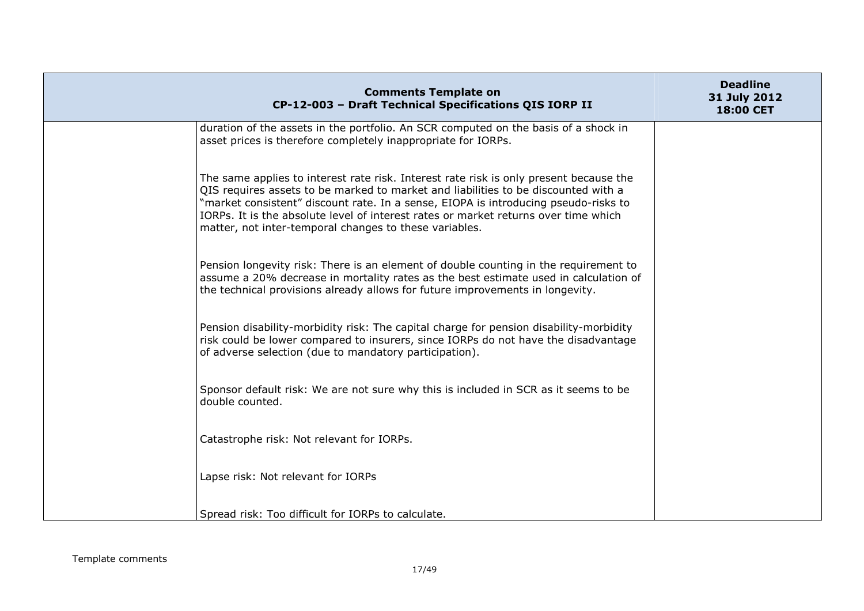| <b>Comments Template on</b><br>CP-12-003 - Draft Technical Specifications QIS IORP II                                                                                                                                                                                                                                                                                                                                | <b>Deadline</b><br>31 July 2012<br>18:00 CET |
|----------------------------------------------------------------------------------------------------------------------------------------------------------------------------------------------------------------------------------------------------------------------------------------------------------------------------------------------------------------------------------------------------------------------|----------------------------------------------|
| duration of the assets in the portfolio. An SCR computed on the basis of a shock in<br>asset prices is therefore completely inappropriate for IORPs.                                                                                                                                                                                                                                                                 |                                              |
| The same applies to interest rate risk. Interest rate risk is only present because the<br>QIS requires assets to be marked to market and liabilities to be discounted with a<br>"market consistent" discount rate. In a sense, EIOPA is introducing pseudo-risks to<br>IORPs. It is the absolute level of interest rates or market returns over time which<br>matter, not inter-temporal changes to these variables. |                                              |
| Pension longevity risk: There is an element of double counting in the requirement to<br>assume a 20% decrease in mortality rates as the best estimate used in calculation of<br>the technical provisions already allows for future improvements in longevity.                                                                                                                                                        |                                              |
| Pension disability-morbidity risk: The capital charge for pension disability-morbidity<br>risk could be lower compared to insurers, since IORPs do not have the disadvantage<br>of adverse selection (due to mandatory participation).                                                                                                                                                                               |                                              |
| Sponsor default risk: We are not sure why this is included in SCR as it seems to be<br>double counted.                                                                                                                                                                                                                                                                                                               |                                              |
| Catastrophe risk: Not relevant for IORPs.                                                                                                                                                                                                                                                                                                                                                                            |                                              |
| Lapse risk: Not relevant for IORPs                                                                                                                                                                                                                                                                                                                                                                                   |                                              |
| Spread risk: Too difficult for IORPs to calculate.                                                                                                                                                                                                                                                                                                                                                                   |                                              |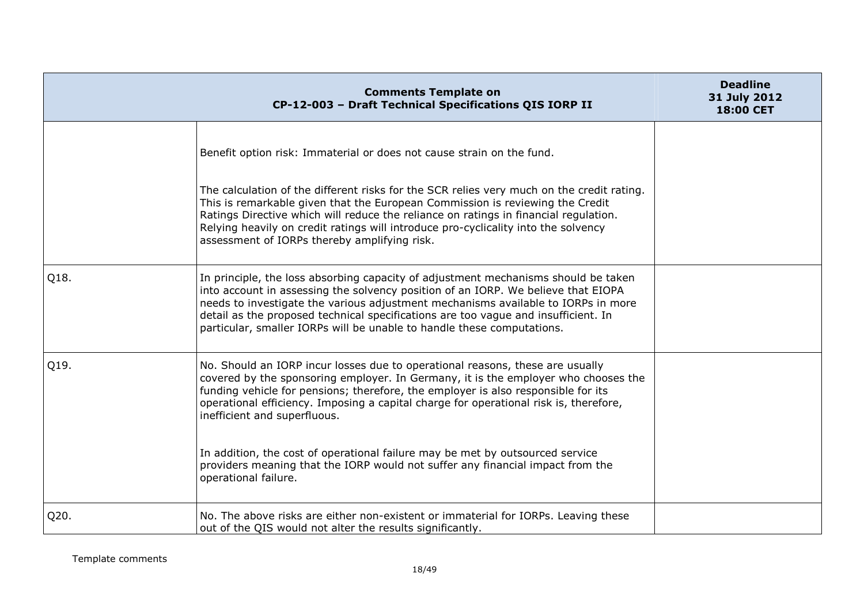|      | <b>Comments Template on</b><br>CP-12-003 - Draft Technical Specifications QIS IORP II                                                                                                                                                                                                                                                                                                                                        | <b>Deadline</b><br>31 July 2012<br>18:00 CET |
|------|------------------------------------------------------------------------------------------------------------------------------------------------------------------------------------------------------------------------------------------------------------------------------------------------------------------------------------------------------------------------------------------------------------------------------|----------------------------------------------|
|      | Benefit option risk: Immaterial or does not cause strain on the fund.<br>The calculation of the different risks for the SCR relies very much on the credit rating.<br>This is remarkable given that the European Commission is reviewing the Credit<br>Ratings Directive which will reduce the reliance on ratings in financial regulation.                                                                                  |                                              |
|      | Relying heavily on credit ratings will introduce pro-cyclicality into the solvency<br>assessment of IORPs thereby amplifying risk.                                                                                                                                                                                                                                                                                           |                                              |
| Q18. | In principle, the loss absorbing capacity of adjustment mechanisms should be taken<br>into account in assessing the solvency position of an IORP. We believe that EIOPA<br>needs to investigate the various adjustment mechanisms available to IORPs in more<br>detail as the proposed technical specifications are too vague and insufficient. In<br>particular, smaller IORPs will be unable to handle these computations. |                                              |
| Q19. | No. Should an IORP incur losses due to operational reasons, these are usually<br>covered by the sponsoring employer. In Germany, it is the employer who chooses the<br>funding vehicle for pensions; therefore, the employer is also responsible for its<br>operational efficiency. Imposing a capital charge for operational risk is, therefore,<br>inefficient and superfluous.                                            |                                              |
|      | In addition, the cost of operational failure may be met by outsourced service<br>providers meaning that the IORP would not suffer any financial impact from the<br>operational failure.                                                                                                                                                                                                                                      |                                              |
| Q20. | No. The above risks are either non-existent or immaterial for IORPs. Leaving these<br>out of the QIS would not alter the results significantly.                                                                                                                                                                                                                                                                              |                                              |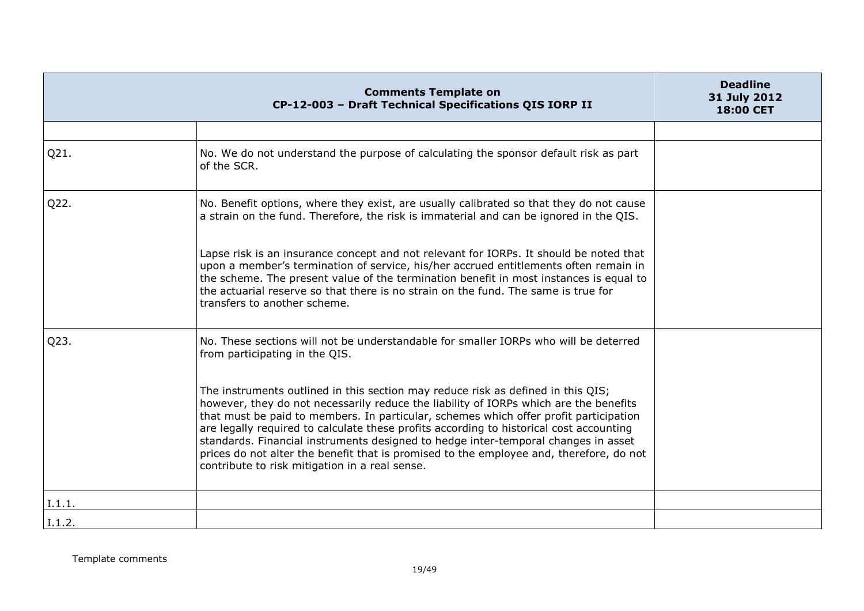|        | <b>Comments Template on</b><br>CP-12-003 - Draft Technical Specifications QIS IORP II                                                                                                                                                                                                                                                                                                                                                                                                                                                                                                                                                                                                                                      | <b>Deadline</b><br>31 July 2012<br>18:00 CET |
|--------|----------------------------------------------------------------------------------------------------------------------------------------------------------------------------------------------------------------------------------------------------------------------------------------------------------------------------------------------------------------------------------------------------------------------------------------------------------------------------------------------------------------------------------------------------------------------------------------------------------------------------------------------------------------------------------------------------------------------------|----------------------------------------------|
|        |                                                                                                                                                                                                                                                                                                                                                                                                                                                                                                                                                                                                                                                                                                                            |                                              |
| Q21.   | No. We do not understand the purpose of calculating the sponsor default risk as part<br>of the SCR.                                                                                                                                                                                                                                                                                                                                                                                                                                                                                                                                                                                                                        |                                              |
| Q22.   | No. Benefit options, where they exist, are usually calibrated so that they do not cause<br>a strain on the fund. Therefore, the risk is immaterial and can be ignored in the QIS.                                                                                                                                                                                                                                                                                                                                                                                                                                                                                                                                          |                                              |
|        | Lapse risk is an insurance concept and not relevant for IORPs. It should be noted that<br>upon a member's termination of service, his/her accrued entitlements often remain in<br>the scheme. The present value of the termination benefit in most instances is equal to<br>the actuarial reserve so that there is no strain on the fund. The same is true for<br>transfers to another scheme.                                                                                                                                                                                                                                                                                                                             |                                              |
| Q23.   | No. These sections will not be understandable for smaller IORPs who will be deterred<br>from participating in the QIS.<br>The instruments outlined in this section may reduce risk as defined in this QIS;<br>however, they do not necessarily reduce the liability of IORPs which are the benefits<br>that must be paid to members. In particular, schemes which offer profit participation<br>are legally required to calculate these profits according to historical cost accounting<br>standards. Financial instruments designed to hedge inter-temporal changes in asset<br>prices do not alter the benefit that is promised to the employee and, therefore, do not<br>contribute to risk mitigation in a real sense. |                                              |
| I.1.1. |                                                                                                                                                                                                                                                                                                                                                                                                                                                                                                                                                                                                                                                                                                                            |                                              |
| I.1.2. |                                                                                                                                                                                                                                                                                                                                                                                                                                                                                                                                                                                                                                                                                                                            |                                              |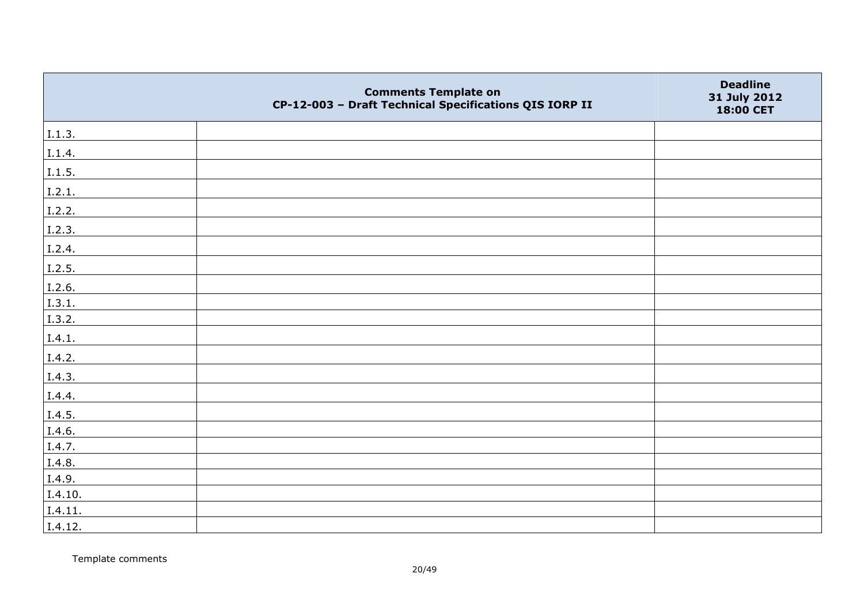|         | <b>Comments Template on</b><br>CP-12-003 - Draft Technical Specifications QIS IORP II | <b>Deadline</b><br>31 July 2012<br>18:00 CET |
|---------|---------------------------------------------------------------------------------------|----------------------------------------------|
| I.1.3.  |                                                                                       |                                              |
| I.1.4.  |                                                                                       |                                              |
| 1.1.5.  |                                                                                       |                                              |
| 1.2.1.  |                                                                                       |                                              |
| I.2.2.  |                                                                                       |                                              |
| I.2.3.  |                                                                                       |                                              |
| I.2.4.  |                                                                                       |                                              |
| I.2.5.  |                                                                                       |                                              |
| I.2.6.  |                                                                                       |                                              |
| 1.3.1.  |                                                                                       |                                              |
| I.3.2.  |                                                                                       |                                              |
| I.4.1.  |                                                                                       |                                              |
| I.4.2.  |                                                                                       |                                              |
| I.4.3.  |                                                                                       |                                              |
| I.4.4.  |                                                                                       |                                              |
| I.4.5.  |                                                                                       |                                              |
| I.4.6.  |                                                                                       |                                              |
| I.4.7.  |                                                                                       |                                              |
| I.4.8.  |                                                                                       |                                              |
| I.4.9.  |                                                                                       |                                              |
| I.4.10. |                                                                                       |                                              |
| I.4.11. |                                                                                       |                                              |
| I.4.12. |                                                                                       |                                              |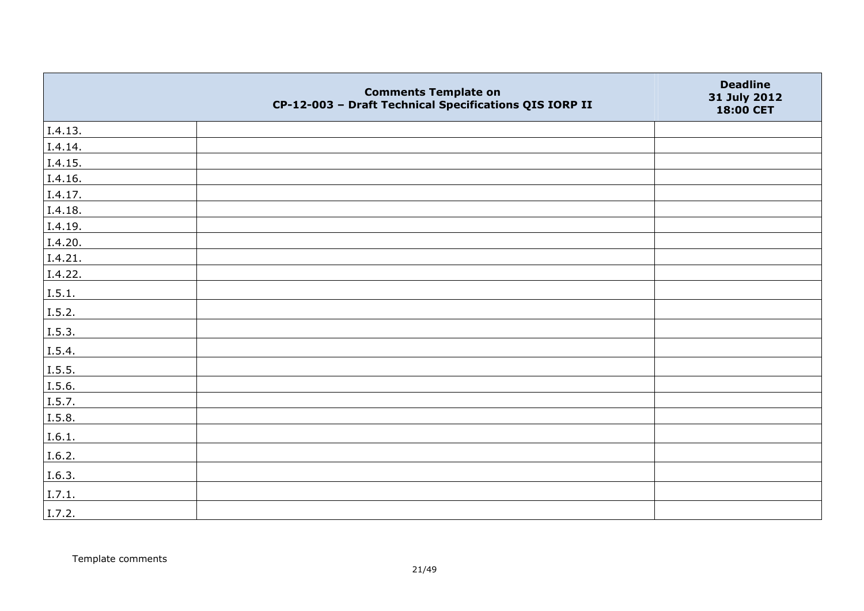|         | <b>Comments Template on</b><br>CP-12-003 - Draft Technical Specifications QIS IORP II | <b>Deadline</b><br>31 July 2012<br>18:00 CET |
|---------|---------------------------------------------------------------------------------------|----------------------------------------------|
| I.4.13. |                                                                                       |                                              |
| I.4.14. |                                                                                       |                                              |
| I.4.15. |                                                                                       |                                              |
| I.4.16. |                                                                                       |                                              |
| I.4.17. |                                                                                       |                                              |
| I.4.18. |                                                                                       |                                              |
| I.4.19. |                                                                                       |                                              |
| I.4.20. |                                                                                       |                                              |
| I.4.21. |                                                                                       |                                              |
| I.4.22. |                                                                                       |                                              |
| I.5.1.  |                                                                                       |                                              |
| I.5.2.  |                                                                                       |                                              |
| I.5.3.  |                                                                                       |                                              |
| I.5.4.  |                                                                                       |                                              |
| 1.5.5.  |                                                                                       |                                              |
| I.5.6.  |                                                                                       |                                              |
| I.5.7.  |                                                                                       |                                              |
| I.5.8.  |                                                                                       |                                              |
| I.6.1.  |                                                                                       |                                              |
| I.6.2.  |                                                                                       |                                              |
| I.6.3.  |                                                                                       |                                              |
| I.7.1.  |                                                                                       |                                              |
| I.7.2.  |                                                                                       |                                              |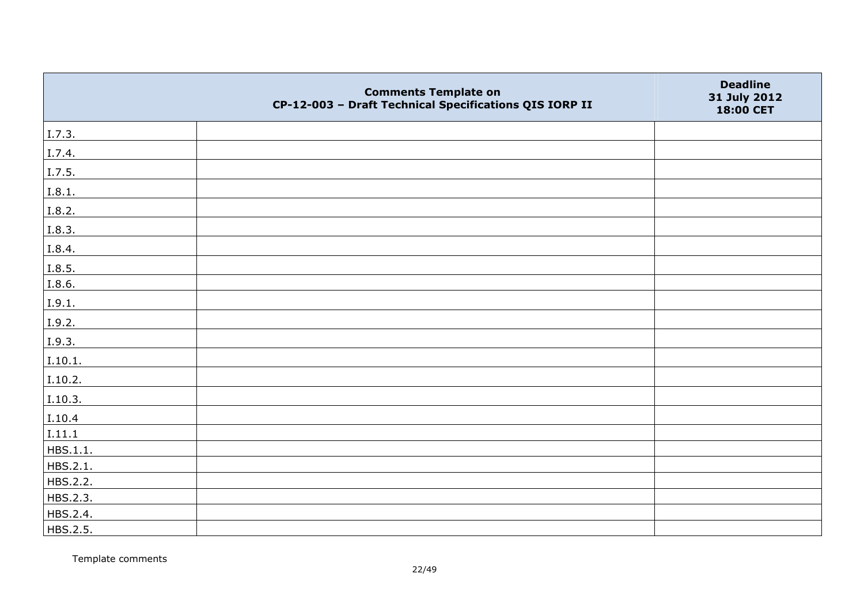|          | <b>Comments Template on</b><br>CP-12-003 - Draft Technical Specifications QIS IORP II | <b>Deadline</b><br>31 July 2012<br>18:00 CET |
|----------|---------------------------------------------------------------------------------------|----------------------------------------------|
| I.7.3.   |                                                                                       |                                              |
| I.7.4.   |                                                                                       |                                              |
| I.7.5.   |                                                                                       |                                              |
| I.8.1.   |                                                                                       |                                              |
| I.8.2.   |                                                                                       |                                              |
| I.8.3.   |                                                                                       |                                              |
| I.8.4.   |                                                                                       |                                              |
| I.8.5.   |                                                                                       |                                              |
| I.8.6.   |                                                                                       |                                              |
| I.9.1.   |                                                                                       |                                              |
| I.9.2.   |                                                                                       |                                              |
| I.9.3.   |                                                                                       |                                              |
| I.10.1.  |                                                                                       |                                              |
| I.10.2.  |                                                                                       |                                              |
| I.10.3.  |                                                                                       |                                              |
| I.10.4   |                                                                                       |                                              |
| I.11.1   |                                                                                       |                                              |
| HBS.1.1. |                                                                                       |                                              |
| HBS.2.1. |                                                                                       |                                              |
| HBS.2.2. |                                                                                       |                                              |
| HBS.2.3. |                                                                                       |                                              |
| HBS.2.4. |                                                                                       |                                              |
| HBS.2.5. |                                                                                       |                                              |

Template comments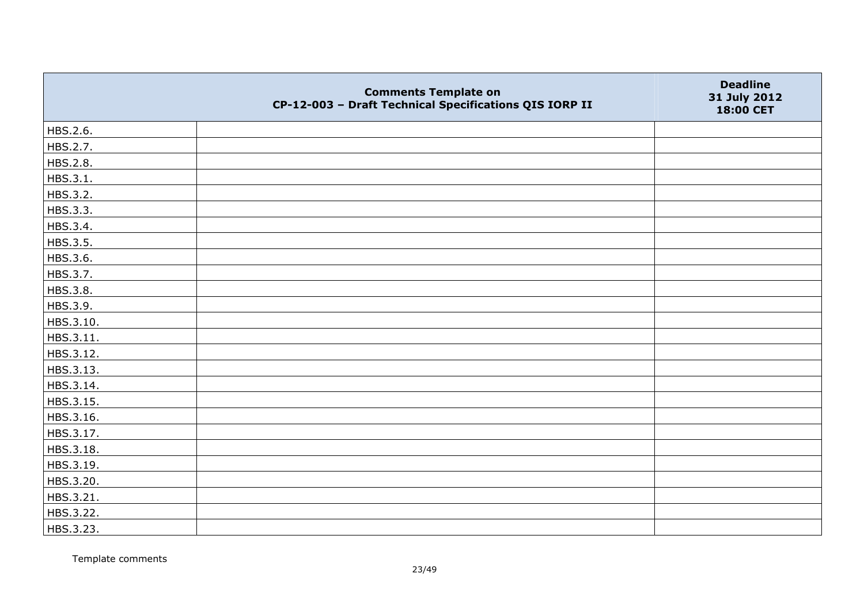|           | <b>Comments Template on</b><br>CP-12-003 - Draft Technical Specifications QIS IORP II | <b>Deadline</b><br>31 July 2012<br>18:00 CET |
|-----------|---------------------------------------------------------------------------------------|----------------------------------------------|
| HBS.2.6.  |                                                                                       |                                              |
| HBS.2.7.  |                                                                                       |                                              |
| HBS.2.8.  |                                                                                       |                                              |
| HBS.3.1.  |                                                                                       |                                              |
| HBS.3.2.  |                                                                                       |                                              |
| HBS.3.3.  |                                                                                       |                                              |
| HBS.3.4.  |                                                                                       |                                              |
| HBS.3.5.  |                                                                                       |                                              |
| HBS.3.6.  |                                                                                       |                                              |
| HBS.3.7.  |                                                                                       |                                              |
| HBS.3.8.  |                                                                                       |                                              |
| HBS.3.9.  |                                                                                       |                                              |
| HBS.3.10. |                                                                                       |                                              |
| HBS.3.11. |                                                                                       |                                              |
| HBS.3.12. |                                                                                       |                                              |
| HBS.3.13. |                                                                                       |                                              |
| HBS.3.14. |                                                                                       |                                              |
| HBS.3.15. |                                                                                       |                                              |
| HBS.3.16. |                                                                                       |                                              |
| HBS.3.17. |                                                                                       |                                              |
| HBS.3.18. |                                                                                       |                                              |
| HBS.3.19. |                                                                                       |                                              |
| HBS.3.20. |                                                                                       |                                              |
| HBS.3.21. |                                                                                       |                                              |
| HBS.3.22. |                                                                                       |                                              |
| HBS.3.23. |                                                                                       |                                              |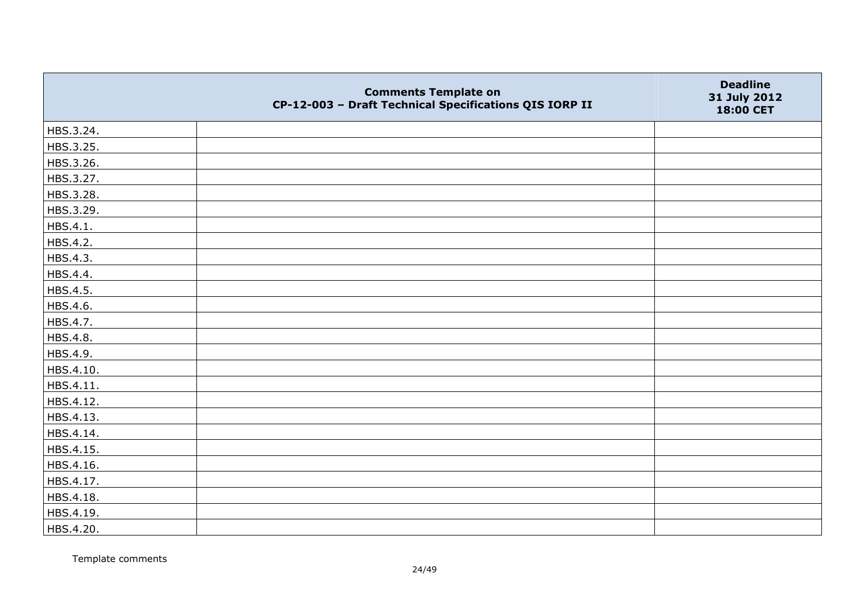|           | <b>Comments Template on</b><br>CP-12-003 - Draft Technical Specifications QIS IORP II | <b>Deadline</b><br>31 July 2012<br>18:00 CET |
|-----------|---------------------------------------------------------------------------------------|----------------------------------------------|
| HBS.3.24. |                                                                                       |                                              |
| HBS.3.25. |                                                                                       |                                              |
| HBS.3.26. |                                                                                       |                                              |
| HBS.3.27. |                                                                                       |                                              |
| HBS.3.28. |                                                                                       |                                              |
| HBS.3.29. |                                                                                       |                                              |
| HBS.4.1.  |                                                                                       |                                              |
| HBS.4.2.  |                                                                                       |                                              |
| HBS.4.3.  |                                                                                       |                                              |
| HBS.4.4.  |                                                                                       |                                              |
| HBS.4.5.  |                                                                                       |                                              |
| HBS.4.6.  |                                                                                       |                                              |
| HBS.4.7.  |                                                                                       |                                              |
| HBS.4.8.  |                                                                                       |                                              |
| HBS.4.9.  |                                                                                       |                                              |
| HBS.4.10. |                                                                                       |                                              |
| HBS.4.11. |                                                                                       |                                              |
| HBS.4.12. |                                                                                       |                                              |
| HBS.4.13. |                                                                                       |                                              |
| HBS.4.14. |                                                                                       |                                              |
| HBS.4.15. |                                                                                       |                                              |
| HBS.4.16. |                                                                                       |                                              |
| HBS.4.17. |                                                                                       |                                              |
| HBS.4.18. |                                                                                       |                                              |
| HBS.4.19. |                                                                                       |                                              |
| HBS.4.20. |                                                                                       |                                              |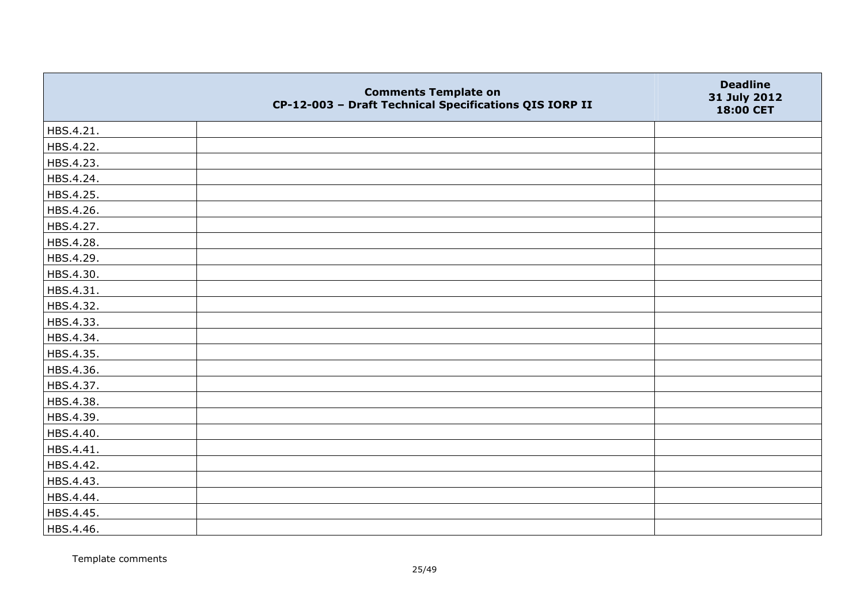|           | <b>Comments Template on</b><br>CP-12-003 - Draft Technical Specifications QIS IORP II | <b>Deadline</b><br>31 July 2012<br>18:00 CET |
|-----------|---------------------------------------------------------------------------------------|----------------------------------------------|
| HBS.4.21. |                                                                                       |                                              |
| HBS.4.22. |                                                                                       |                                              |
| HBS.4.23. |                                                                                       |                                              |
| HBS.4.24. |                                                                                       |                                              |
| HBS.4.25. |                                                                                       |                                              |
| HBS.4.26. |                                                                                       |                                              |
| HBS.4.27. |                                                                                       |                                              |
| HBS.4.28. |                                                                                       |                                              |
| HBS.4.29. |                                                                                       |                                              |
| HBS.4.30. |                                                                                       |                                              |
| HBS.4.31. |                                                                                       |                                              |
| HBS.4.32. |                                                                                       |                                              |
| HBS.4.33. |                                                                                       |                                              |
| HBS.4.34. |                                                                                       |                                              |
| HBS.4.35. |                                                                                       |                                              |
| HBS.4.36. |                                                                                       |                                              |
| HBS.4.37. |                                                                                       |                                              |
| HBS.4.38. |                                                                                       |                                              |
| HBS.4.39. |                                                                                       |                                              |
| HBS.4.40. |                                                                                       |                                              |
| HBS.4.41. |                                                                                       |                                              |
| HBS.4.42. |                                                                                       |                                              |
| HBS.4.43. |                                                                                       |                                              |
| HBS.4.44. |                                                                                       |                                              |
| HBS.4.45. |                                                                                       |                                              |
| HBS.4.46. |                                                                                       |                                              |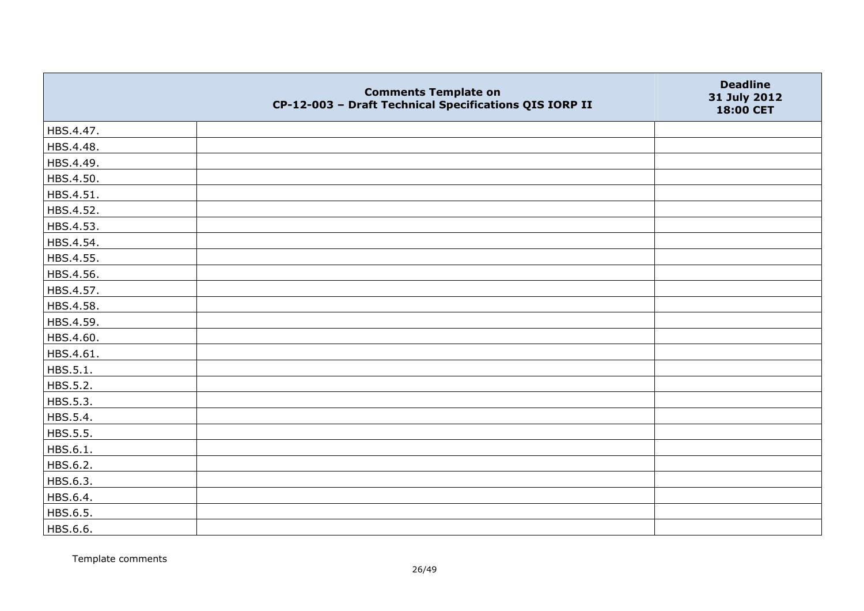|           | <b>Comments Template on</b><br>CP-12-003 - Draft Technical Specifications QIS IORP II | <b>Deadline</b><br>31 July 2012<br>18:00 CET |
|-----------|---------------------------------------------------------------------------------------|----------------------------------------------|
| HBS.4.47. |                                                                                       |                                              |
| HBS.4.48. |                                                                                       |                                              |
| HBS.4.49. |                                                                                       |                                              |
| HBS.4.50. |                                                                                       |                                              |
| HBS.4.51. |                                                                                       |                                              |
| HBS.4.52. |                                                                                       |                                              |
| HBS.4.53. |                                                                                       |                                              |
| HBS.4.54. |                                                                                       |                                              |
| HBS.4.55. |                                                                                       |                                              |
| HBS.4.56. |                                                                                       |                                              |
| HBS.4.57. |                                                                                       |                                              |
| HBS.4.58. |                                                                                       |                                              |
| HBS.4.59. |                                                                                       |                                              |
| HBS.4.60. |                                                                                       |                                              |
| HBS.4.61. |                                                                                       |                                              |
| HBS.5.1.  |                                                                                       |                                              |
| HBS.5.2.  |                                                                                       |                                              |
| HBS.5.3.  |                                                                                       |                                              |
| HBS.5.4.  |                                                                                       |                                              |
| HBS.5.5.  |                                                                                       |                                              |
| HBS.6.1.  |                                                                                       |                                              |
| HBS.6.2.  |                                                                                       |                                              |
| HBS.6.3.  |                                                                                       |                                              |
| HBS.6.4.  |                                                                                       |                                              |
| HBS.6.5.  |                                                                                       |                                              |
| HBS.6.6.  |                                                                                       |                                              |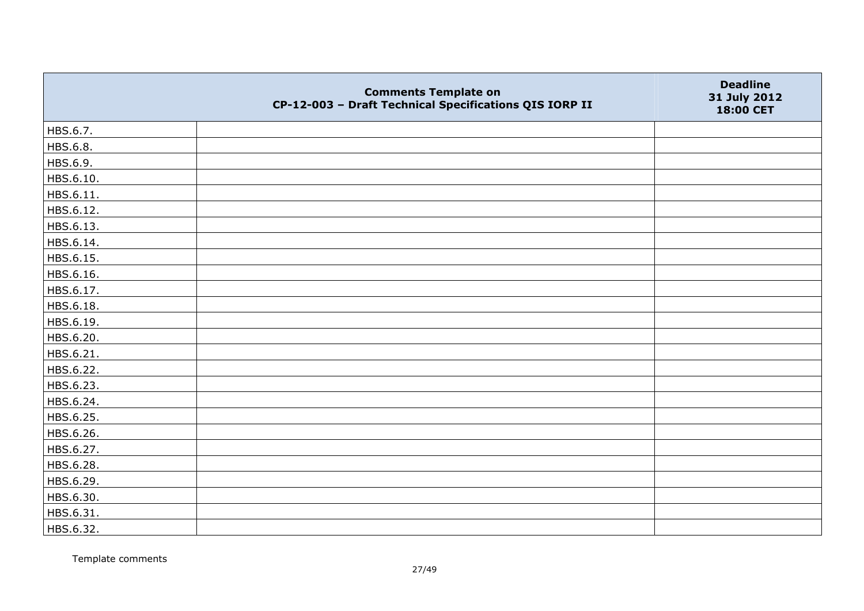|           | <b>Comments Template on</b><br>CP-12-003 - Draft Technical Specifications QIS IORP II | <b>Deadline</b><br>31 July 2012<br>18:00 CET |
|-----------|---------------------------------------------------------------------------------------|----------------------------------------------|
| HBS.6.7.  |                                                                                       |                                              |
| HBS.6.8.  |                                                                                       |                                              |
| HBS.6.9.  |                                                                                       |                                              |
| HBS.6.10. |                                                                                       |                                              |
| HBS.6.11. |                                                                                       |                                              |
| HBS.6.12. |                                                                                       |                                              |
| HBS.6.13. |                                                                                       |                                              |
| HBS.6.14. |                                                                                       |                                              |
| HBS.6.15. |                                                                                       |                                              |
| HBS.6.16. |                                                                                       |                                              |
| HBS.6.17. |                                                                                       |                                              |
| HBS.6.18. |                                                                                       |                                              |
| HBS.6.19. |                                                                                       |                                              |
| HBS.6.20. |                                                                                       |                                              |
| HBS.6.21. |                                                                                       |                                              |
| HBS.6.22. |                                                                                       |                                              |
| HBS.6.23. |                                                                                       |                                              |
| HBS.6.24. |                                                                                       |                                              |
| HBS.6.25. |                                                                                       |                                              |
| HBS.6.26. |                                                                                       |                                              |
| HBS.6.27. |                                                                                       |                                              |
| HBS.6.28. |                                                                                       |                                              |
| HBS.6.29. |                                                                                       |                                              |
| HBS.6.30. |                                                                                       |                                              |
| HBS.6.31. |                                                                                       |                                              |
| HBS.6.32. |                                                                                       |                                              |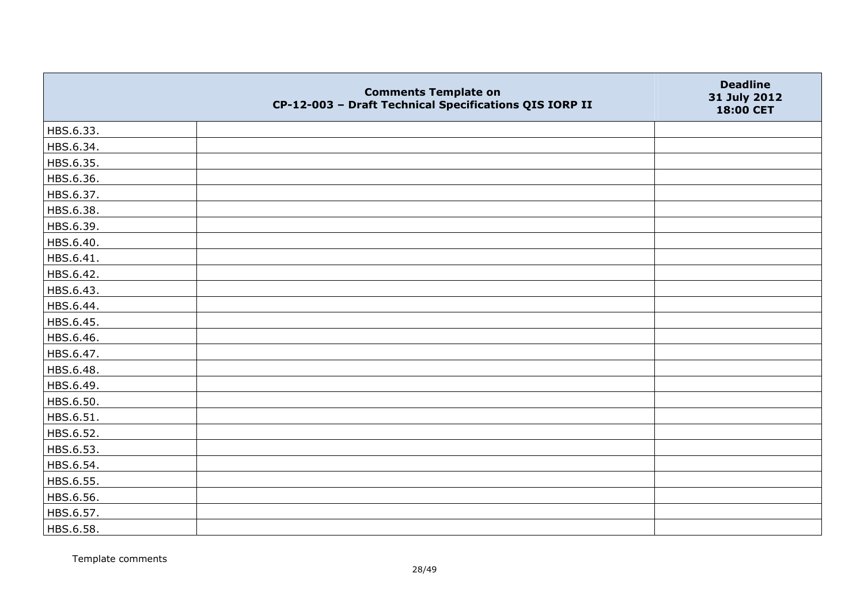|           | <b>Comments Template on</b><br>CP-12-003 - Draft Technical Specifications QIS IORP II | <b>Deadline</b><br>31 July 2012<br>18:00 CET |
|-----------|---------------------------------------------------------------------------------------|----------------------------------------------|
| HBS.6.33. |                                                                                       |                                              |
| HBS.6.34. |                                                                                       |                                              |
| HBS.6.35. |                                                                                       |                                              |
| HBS.6.36. |                                                                                       |                                              |
| HBS.6.37. |                                                                                       |                                              |
| HBS.6.38. |                                                                                       |                                              |
| HBS.6.39. |                                                                                       |                                              |
| HBS.6.40. |                                                                                       |                                              |
| HBS.6.41. |                                                                                       |                                              |
| HBS.6.42. |                                                                                       |                                              |
| HBS.6.43. |                                                                                       |                                              |
| HBS.6.44. |                                                                                       |                                              |
| HBS.6.45. |                                                                                       |                                              |
| HBS.6.46. |                                                                                       |                                              |
| HBS.6.47. |                                                                                       |                                              |
| HBS.6.48. |                                                                                       |                                              |
| HBS.6.49. |                                                                                       |                                              |
| HBS.6.50. |                                                                                       |                                              |
| HBS.6.51. |                                                                                       |                                              |
| HBS.6.52. |                                                                                       |                                              |
| HBS.6.53. |                                                                                       |                                              |
| HBS.6.54. |                                                                                       |                                              |
| HBS.6.55. |                                                                                       |                                              |
| HBS.6.56. |                                                                                       |                                              |
| HBS.6.57. |                                                                                       |                                              |
| HBS.6.58. |                                                                                       |                                              |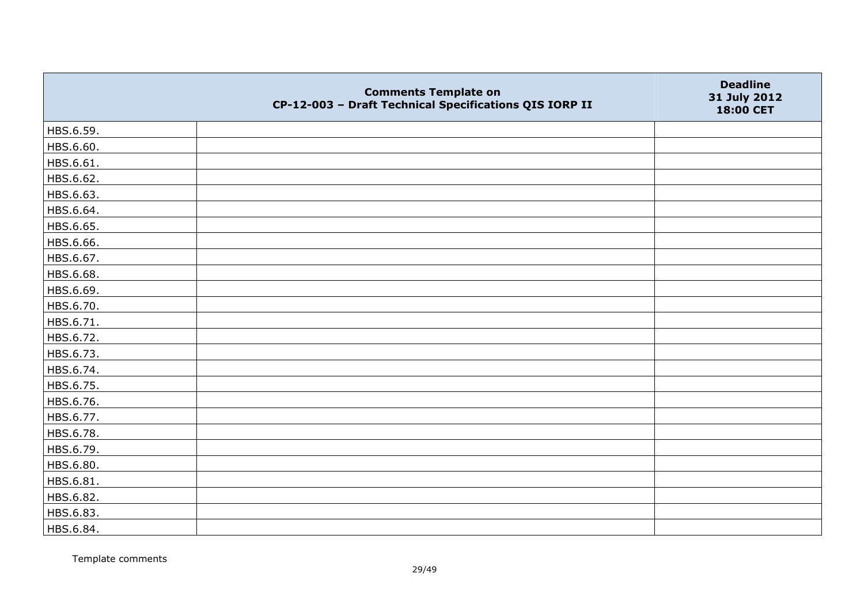|           | <b>Comments Template on</b><br>CP-12-003 - Draft Technical Specifications QIS IORP II | <b>Deadline</b><br>31 July 2012<br>18:00 CET |
|-----------|---------------------------------------------------------------------------------------|----------------------------------------------|
| HBS.6.59. |                                                                                       |                                              |
| HBS.6.60. |                                                                                       |                                              |
| HBS.6.61. |                                                                                       |                                              |
| HBS.6.62. |                                                                                       |                                              |
| HBS.6.63. |                                                                                       |                                              |
| HBS.6.64. |                                                                                       |                                              |
| HBS.6.65. |                                                                                       |                                              |
| HBS.6.66. |                                                                                       |                                              |
| HBS.6.67. |                                                                                       |                                              |
| HBS.6.68. |                                                                                       |                                              |
| HBS.6.69. |                                                                                       |                                              |
| HBS.6.70. |                                                                                       |                                              |
| HBS.6.71. |                                                                                       |                                              |
| HBS.6.72. |                                                                                       |                                              |
| HBS.6.73. |                                                                                       |                                              |
| HBS.6.74. |                                                                                       |                                              |
| HBS.6.75. |                                                                                       |                                              |
| HBS.6.76. |                                                                                       |                                              |
| HBS.6.77. |                                                                                       |                                              |
| HBS.6.78. |                                                                                       |                                              |
| HBS.6.79. |                                                                                       |                                              |
| HBS.6.80. |                                                                                       |                                              |
| HBS.6.81. |                                                                                       |                                              |
| HBS.6.82. |                                                                                       |                                              |
| HBS.6.83. |                                                                                       |                                              |
| HBS.6.84. |                                                                                       |                                              |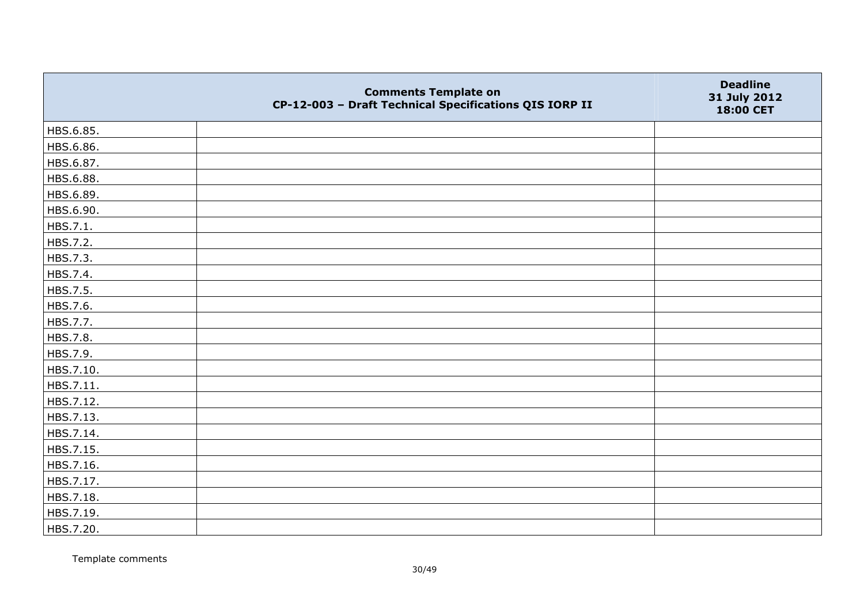|           | <b>Comments Template on</b><br>CP-12-003 - Draft Technical Specifications QIS IORP II | <b>Deadline</b><br>31 July 2012<br>18:00 CET |
|-----------|---------------------------------------------------------------------------------------|----------------------------------------------|
| HBS.6.85. |                                                                                       |                                              |
| HBS.6.86. |                                                                                       |                                              |
| HBS.6.87. |                                                                                       |                                              |
| HBS.6.88. |                                                                                       |                                              |
| HBS.6.89. |                                                                                       |                                              |
| HBS.6.90. |                                                                                       |                                              |
| HBS.7.1.  |                                                                                       |                                              |
| HBS.7.2.  |                                                                                       |                                              |
| HBS.7.3.  |                                                                                       |                                              |
| HBS.7.4.  |                                                                                       |                                              |
| HBS.7.5.  |                                                                                       |                                              |
| HBS.7.6.  |                                                                                       |                                              |
| HBS.7.7.  |                                                                                       |                                              |
| HBS.7.8.  |                                                                                       |                                              |
| HBS.7.9.  |                                                                                       |                                              |
| HBS.7.10. |                                                                                       |                                              |
| HBS.7.11. |                                                                                       |                                              |
| HBS.7.12. |                                                                                       |                                              |
| HBS.7.13. |                                                                                       |                                              |
| HBS.7.14. |                                                                                       |                                              |
| HBS.7.15. |                                                                                       |                                              |
| HBS.7.16. |                                                                                       |                                              |
| HBS.7.17. |                                                                                       |                                              |
| HBS.7.18. |                                                                                       |                                              |
| HBS.7.19. |                                                                                       |                                              |
| HBS.7.20. |                                                                                       |                                              |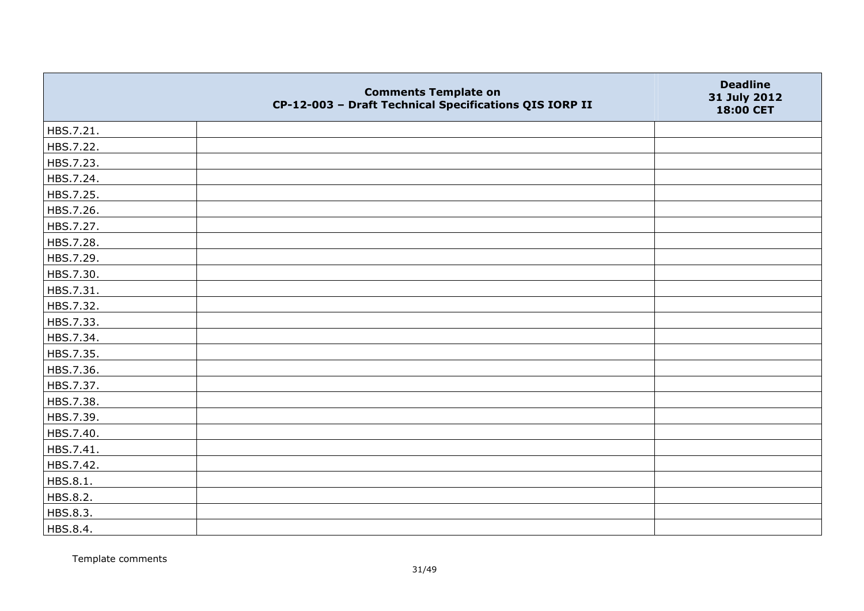|           | <b>Comments Template on</b><br>CP-12-003 - Draft Technical Specifications QIS IORP II | <b>Deadline</b><br>31 July 2012<br>18:00 CET |
|-----------|---------------------------------------------------------------------------------------|----------------------------------------------|
| HBS.7.21. |                                                                                       |                                              |
| HBS.7.22. |                                                                                       |                                              |
| HBS.7.23. |                                                                                       |                                              |
| HBS.7.24. |                                                                                       |                                              |
| HBS.7.25. |                                                                                       |                                              |
| HBS.7.26. |                                                                                       |                                              |
| HBS.7.27. |                                                                                       |                                              |
| HBS.7.28. |                                                                                       |                                              |
| HBS.7.29. |                                                                                       |                                              |
| HBS.7.30. |                                                                                       |                                              |
| HBS.7.31. |                                                                                       |                                              |
| HBS.7.32. |                                                                                       |                                              |
| HBS.7.33. |                                                                                       |                                              |
| HBS.7.34. |                                                                                       |                                              |
| HBS.7.35. |                                                                                       |                                              |
| HBS.7.36. |                                                                                       |                                              |
| HBS.7.37. |                                                                                       |                                              |
| HBS.7.38. |                                                                                       |                                              |
| HBS.7.39. |                                                                                       |                                              |
| HBS.7.40. |                                                                                       |                                              |
| HBS.7.41. |                                                                                       |                                              |
| HBS.7.42. |                                                                                       |                                              |
| HBS.8.1.  |                                                                                       |                                              |
| HBS.8.2.  |                                                                                       |                                              |
| HBS.8.3.  |                                                                                       |                                              |
| HBS.8.4.  |                                                                                       |                                              |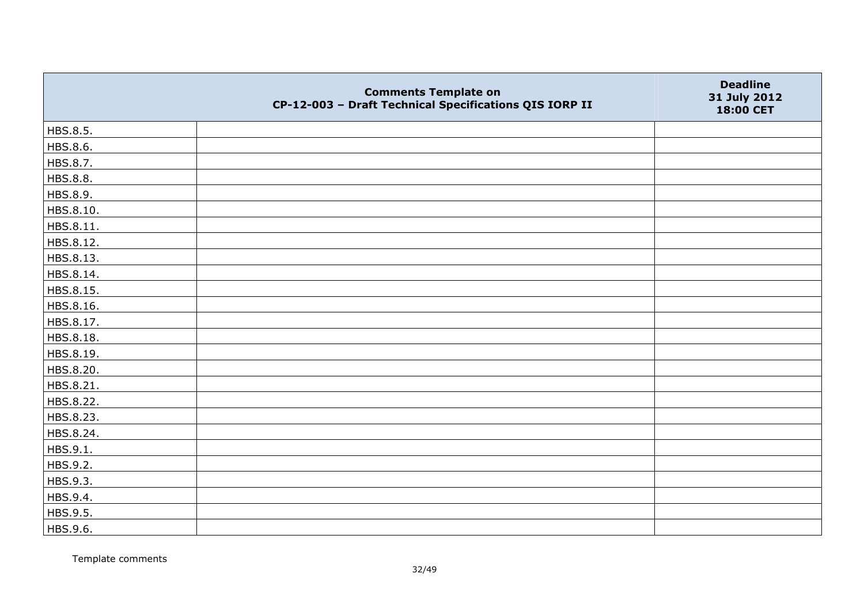|           | <b>Comments Template on</b><br>CP-12-003 - Draft Technical Specifications QIS IORP II | <b>Deadline</b><br>31 July 2012<br>18:00 CET |
|-----------|---------------------------------------------------------------------------------------|----------------------------------------------|
| HBS.8.5.  |                                                                                       |                                              |
| HBS.8.6.  |                                                                                       |                                              |
| HBS.8.7.  |                                                                                       |                                              |
| HBS.8.8.  |                                                                                       |                                              |
| HBS.8.9.  |                                                                                       |                                              |
| HBS.8.10. |                                                                                       |                                              |
| HBS.8.11. |                                                                                       |                                              |
| HBS.8.12. |                                                                                       |                                              |
| HBS.8.13. |                                                                                       |                                              |
| HBS.8.14. |                                                                                       |                                              |
| HBS.8.15. |                                                                                       |                                              |
| HBS.8.16. |                                                                                       |                                              |
| HBS.8.17. |                                                                                       |                                              |
| HBS.8.18. |                                                                                       |                                              |
| HBS.8.19. |                                                                                       |                                              |
| HBS.8.20. |                                                                                       |                                              |
| HBS.8.21. |                                                                                       |                                              |
| HBS.8.22. |                                                                                       |                                              |
| HBS.8.23. |                                                                                       |                                              |
| HBS.8.24. |                                                                                       |                                              |
| HBS.9.1.  |                                                                                       |                                              |
| HBS.9.2.  |                                                                                       |                                              |
| HBS.9.3.  |                                                                                       |                                              |
| HBS.9.4.  |                                                                                       |                                              |
| HBS.9.5.  |                                                                                       |                                              |
| HBS.9.6.  |                                                                                       |                                              |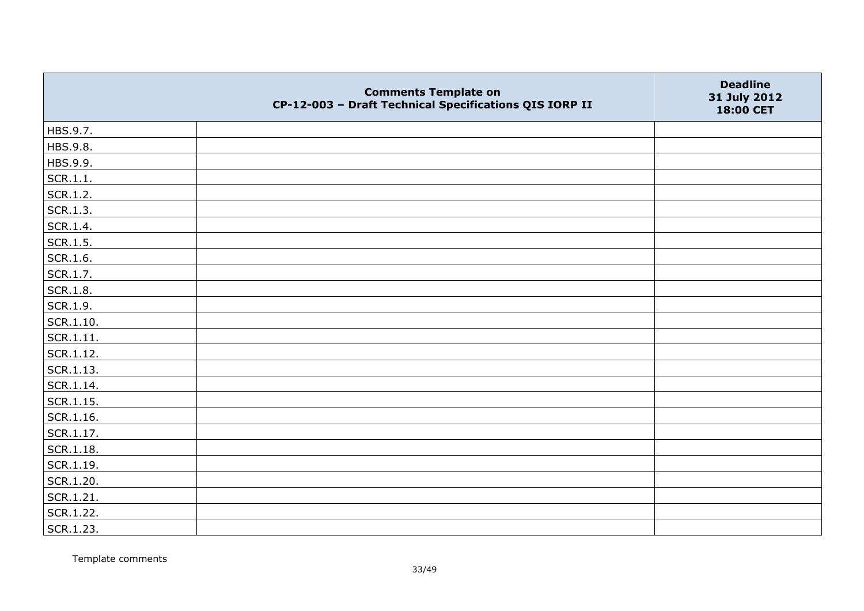|                   | <b>Comments Template on</b><br>CP-12-003 - Draft Technical Specifications QIS IORP II | <b>Deadline</b><br>31 July 2012<br>18:00 CET |
|-------------------|---------------------------------------------------------------------------------------|----------------------------------------------|
| HBS.9.7.          |                                                                                       |                                              |
| HBS.9.8.          |                                                                                       |                                              |
| HBS.9.9.          |                                                                                       |                                              |
| SCR.1.1.          |                                                                                       |                                              |
| SCR.1.2.          |                                                                                       |                                              |
| SCR.1.3.          |                                                                                       |                                              |
| SCR.1.4.          |                                                                                       |                                              |
| SCR.1.5.          |                                                                                       |                                              |
| SCR.1.6.          |                                                                                       |                                              |
| SCR.1.7.          |                                                                                       |                                              |
| <b>SCR.1.8.</b>   |                                                                                       |                                              |
| SCR.1.9.          |                                                                                       |                                              |
| SCR.1.10.         |                                                                                       |                                              |
| SCR.1.11.         |                                                                                       |                                              |
| SCR.1.12.         |                                                                                       |                                              |
| SCR.1.13.         |                                                                                       |                                              |
| SCR.1.14.         |                                                                                       |                                              |
| $\vert$ SCR.1.15. |                                                                                       |                                              |
| SCR.1.16.         |                                                                                       |                                              |
| SCR.1.17.         |                                                                                       |                                              |
| $ $ SCR.1.18.     |                                                                                       |                                              |
| SCR.1.19.         |                                                                                       |                                              |
| SCR.1.20.         |                                                                                       |                                              |
| SCR.1.21.         |                                                                                       |                                              |
| SCR.1.22.         |                                                                                       |                                              |
| SCR.1.23.         |                                                                                       |                                              |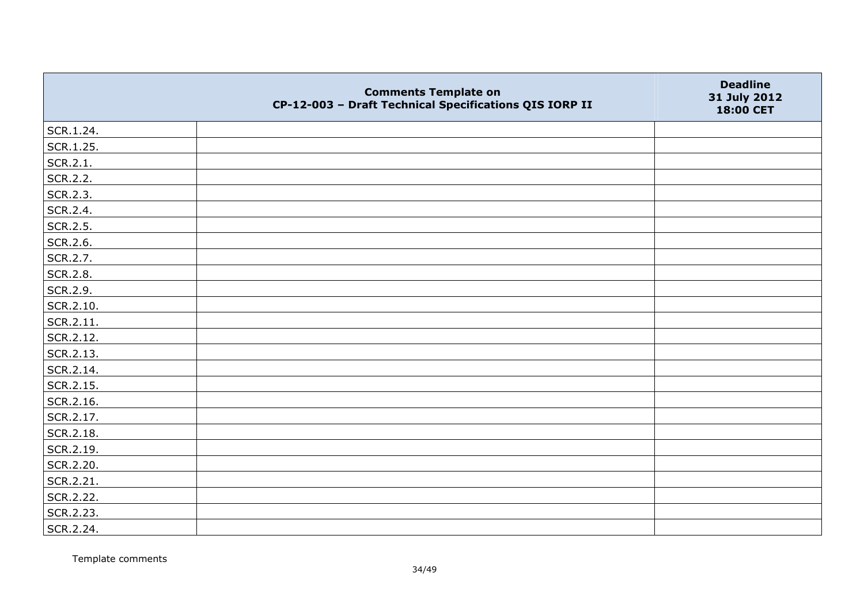|           | <b>Comments Template on</b><br>CP-12-003 - Draft Technical Specifications QIS IORP II | <b>Deadline</b><br>31 July 2012<br>18:00 CET |
|-----------|---------------------------------------------------------------------------------------|----------------------------------------------|
| SCR.1.24. |                                                                                       |                                              |
| SCR.1.25. |                                                                                       |                                              |
| SCR.2.1.  |                                                                                       |                                              |
| SCR.2.2.  |                                                                                       |                                              |
| SCR.2.3.  |                                                                                       |                                              |
| SCR.2.4.  |                                                                                       |                                              |
| SCR.2.5.  |                                                                                       |                                              |
| SCR.2.6.  |                                                                                       |                                              |
| SCR.2.7.  |                                                                                       |                                              |
| SCR.2.8.  |                                                                                       |                                              |
| SCR.2.9.  |                                                                                       |                                              |
| SCR.2.10. |                                                                                       |                                              |
| SCR.2.11. |                                                                                       |                                              |
| SCR.2.12. |                                                                                       |                                              |
| SCR.2.13. |                                                                                       |                                              |
| SCR.2.14. |                                                                                       |                                              |
| SCR.2.15. |                                                                                       |                                              |
| SCR.2.16. |                                                                                       |                                              |
| SCR.2.17. |                                                                                       |                                              |
| SCR.2.18. |                                                                                       |                                              |
| SCR.2.19. |                                                                                       |                                              |
| SCR.2.20. |                                                                                       |                                              |
| SCR.2.21. |                                                                                       |                                              |
| SCR.2.22. |                                                                                       |                                              |
| SCR.2.23. |                                                                                       |                                              |
| SCR.2.24. |                                                                                       |                                              |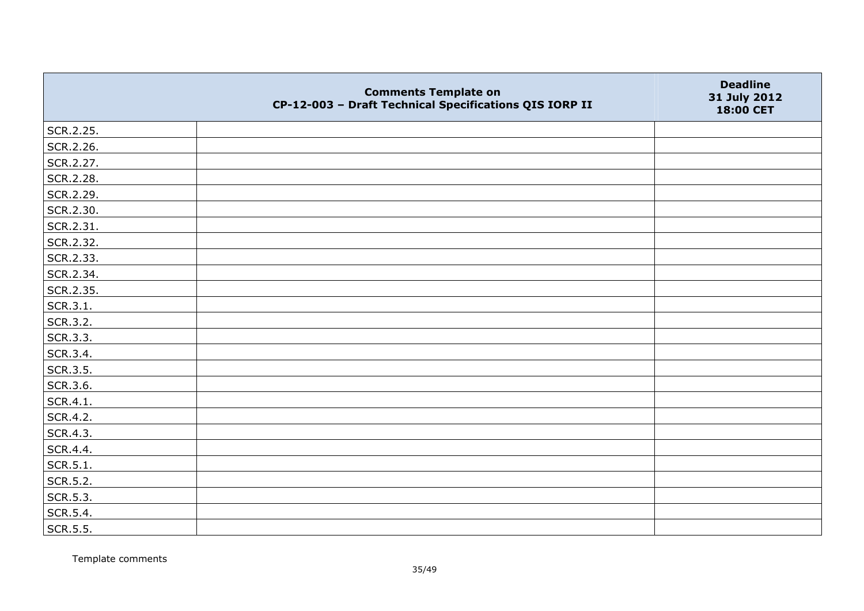|           | <b>Comments Template on</b><br>CP-12-003 - Draft Technical Specifications QIS IORP II | <b>Deadline</b><br>31 July 2012<br>18:00 CET |
|-----------|---------------------------------------------------------------------------------------|----------------------------------------------|
| SCR.2.25. |                                                                                       |                                              |
| SCR.2.26. |                                                                                       |                                              |
| SCR.2.27. |                                                                                       |                                              |
| SCR.2.28. |                                                                                       |                                              |
| SCR.2.29. |                                                                                       |                                              |
| SCR.2.30. |                                                                                       |                                              |
| SCR.2.31. |                                                                                       |                                              |
| SCR.2.32. |                                                                                       |                                              |
| SCR.2.33. |                                                                                       |                                              |
| SCR.2.34. |                                                                                       |                                              |
| SCR.2.35. |                                                                                       |                                              |
| SCR.3.1.  |                                                                                       |                                              |
| SCR.3.2.  |                                                                                       |                                              |
| SCR.3.3.  |                                                                                       |                                              |
| SCR.3.4.  |                                                                                       |                                              |
| SCR.3.5.  |                                                                                       |                                              |
| SCR.3.6.  |                                                                                       |                                              |
| SCR.4.1.  |                                                                                       |                                              |
| SCR.4.2.  |                                                                                       |                                              |
| SCR.4.3.  |                                                                                       |                                              |
| SCR.4.4.  |                                                                                       |                                              |
| SCR.5.1.  |                                                                                       |                                              |
| SCR.5.2.  |                                                                                       |                                              |
| SCR.5.3.  |                                                                                       |                                              |
| SCR.5.4.  |                                                                                       |                                              |
| SCR.5.5.  |                                                                                       |                                              |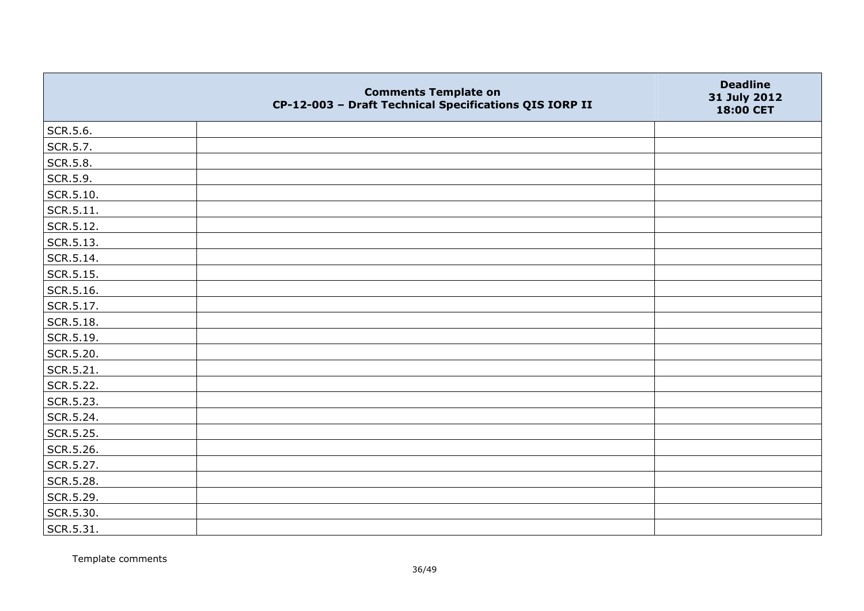|                   | <b>Comments Template on</b><br>CP-12-003 - Draft Technical Specifications QIS IORP II | <b>Deadline</b><br>31 July 2012<br>18:00 CET |
|-------------------|---------------------------------------------------------------------------------------|----------------------------------------------|
| SCR.5.6.          |                                                                                       |                                              |
| SCR.5.7.          |                                                                                       |                                              |
| SCR.5.8.          |                                                                                       |                                              |
| SCR.5.9.          |                                                                                       |                                              |
| SCR.5.10.         |                                                                                       |                                              |
| $\vert$ SCR.5.11. |                                                                                       |                                              |
| SCR.5.12.         |                                                                                       |                                              |
| SCR.5.13.         |                                                                                       |                                              |
| SCR.5.14.         |                                                                                       |                                              |
| SCR.5.15.         |                                                                                       |                                              |
| SCR.5.16.         |                                                                                       |                                              |
| SCR.5.17.         |                                                                                       |                                              |
| SCR.5.18.         |                                                                                       |                                              |
| SCR.5.19.         |                                                                                       |                                              |
| SCR.5.20.         |                                                                                       |                                              |
| SCR.5.21.         |                                                                                       |                                              |
| SCR.5.22.         |                                                                                       |                                              |
| SCR.5.23.         |                                                                                       |                                              |
| SCR.5.24.         |                                                                                       |                                              |
| SCR.5.25.         |                                                                                       |                                              |
| SCR.5.26.         |                                                                                       |                                              |
| SCR.5.27.         |                                                                                       |                                              |
| SCR.5.28.         |                                                                                       |                                              |
| SCR.5.29.         |                                                                                       |                                              |
| SCR.5.30.         |                                                                                       |                                              |
| SCR.5.31.         |                                                                                       |                                              |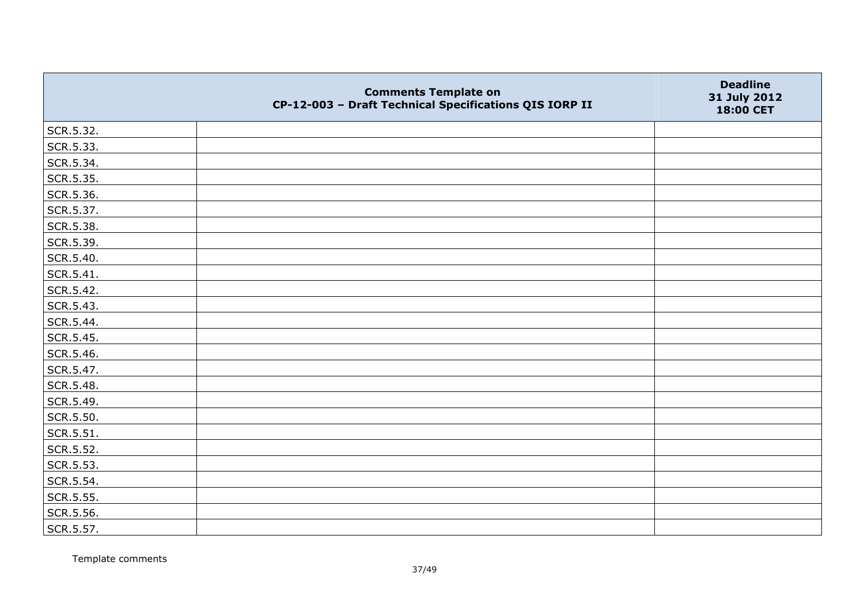|               | <b>Comments Template on</b><br>CP-12-003 - Draft Technical Specifications QIS IORP II | <b>Deadline</b><br>31 July 2012<br>18:00 CET |
|---------------|---------------------------------------------------------------------------------------|----------------------------------------------|
| SCR.5.32.     |                                                                                       |                                              |
| SCR.5.33.     |                                                                                       |                                              |
| SCR.5.34.     |                                                                                       |                                              |
| SCR.5.35.     |                                                                                       |                                              |
| SCR.5.36.     |                                                                                       |                                              |
| SCR.5.37.     |                                                                                       |                                              |
| SCR.5.38.     |                                                                                       |                                              |
| SCR.5.39.     |                                                                                       |                                              |
| SCR.5.40.     |                                                                                       |                                              |
| SCR.5.41.     |                                                                                       |                                              |
| SCR.5.42.     |                                                                                       |                                              |
| SCR.5.43.     |                                                                                       |                                              |
| SCR.5.44.     |                                                                                       |                                              |
| SCR.5.45.     |                                                                                       |                                              |
| SCR.5.46.     |                                                                                       |                                              |
| SCR.5.47.     |                                                                                       |                                              |
| SCR.5.48.     |                                                                                       |                                              |
| SCR.5.49.     |                                                                                       |                                              |
| SCR.5.50.     |                                                                                       |                                              |
| $ $ SCR.5.51. |                                                                                       |                                              |
| SCR.5.52.     |                                                                                       |                                              |
| SCR.5.53.     |                                                                                       |                                              |
| SCR.5.54.     |                                                                                       |                                              |
| SCR.5.55.     |                                                                                       |                                              |
| SCR.5.56.     |                                                                                       |                                              |
| SCR.5.57.     |                                                                                       |                                              |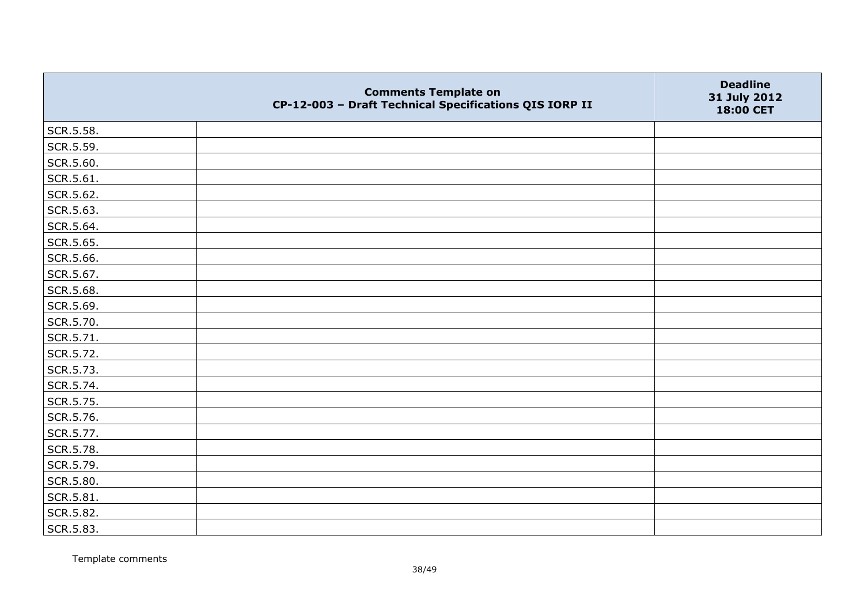|           | <b>Comments Template on</b><br>CP-12-003 - Draft Technical Specifications QIS IORP II | <b>Deadline</b><br>31 July 2012<br>18:00 CET |
|-----------|---------------------------------------------------------------------------------------|----------------------------------------------|
| SCR.5.58. |                                                                                       |                                              |
| SCR.5.59. |                                                                                       |                                              |
| SCR.5.60. |                                                                                       |                                              |
| SCR.5.61. |                                                                                       |                                              |
| SCR.5.62. |                                                                                       |                                              |
| SCR.5.63. |                                                                                       |                                              |
| SCR.5.64. |                                                                                       |                                              |
| SCR.5.65. |                                                                                       |                                              |
| SCR.5.66. |                                                                                       |                                              |
| SCR.5.67. |                                                                                       |                                              |
| SCR.5.68. |                                                                                       |                                              |
| SCR.5.69. |                                                                                       |                                              |
| SCR.5.70. |                                                                                       |                                              |
| SCR.5.71. |                                                                                       |                                              |
| SCR.5.72. |                                                                                       |                                              |
| SCR.5.73. |                                                                                       |                                              |
| SCR.5.74. |                                                                                       |                                              |
| SCR.5.75. |                                                                                       |                                              |
| SCR.5.76. |                                                                                       |                                              |
| SCR.5.77. |                                                                                       |                                              |
| SCR.5.78. |                                                                                       |                                              |
| SCR.5.79. |                                                                                       |                                              |
| SCR.5.80. |                                                                                       |                                              |
| SCR.5.81. |                                                                                       |                                              |
| SCR.5.82. |                                                                                       |                                              |
| SCR.5.83. |                                                                                       |                                              |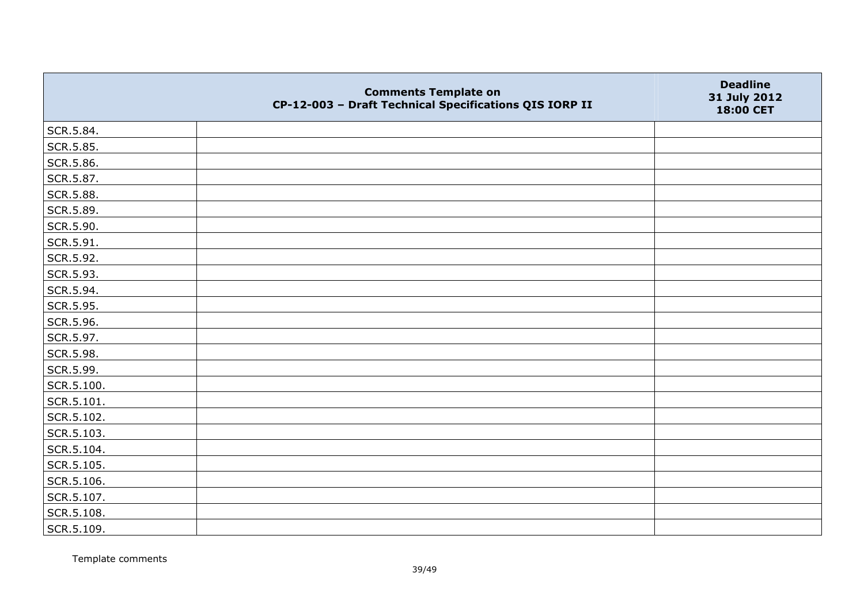|            | <b>Comments Template on</b><br>CP-12-003 - Draft Technical Specifications QIS IORP II | <b>Deadline</b><br>31 July 2012<br>18:00 CET |
|------------|---------------------------------------------------------------------------------------|----------------------------------------------|
| SCR.5.84.  |                                                                                       |                                              |
| SCR.5.85.  |                                                                                       |                                              |
| SCR.5.86.  |                                                                                       |                                              |
| SCR.5.87.  |                                                                                       |                                              |
| SCR.5.88.  |                                                                                       |                                              |
| SCR.5.89.  |                                                                                       |                                              |
| SCR.5.90.  |                                                                                       |                                              |
| SCR.5.91.  |                                                                                       |                                              |
| SCR.5.92.  |                                                                                       |                                              |
| SCR.5.93.  |                                                                                       |                                              |
| SCR.5.94.  |                                                                                       |                                              |
| SCR.5.95.  |                                                                                       |                                              |
| SCR.5.96.  |                                                                                       |                                              |
| SCR.5.97.  |                                                                                       |                                              |
| SCR.5.98.  |                                                                                       |                                              |
| SCR.5.99.  |                                                                                       |                                              |
| SCR.5.100. |                                                                                       |                                              |
| SCR.5.101. |                                                                                       |                                              |
| SCR.5.102. |                                                                                       |                                              |
| SCR.5.103. |                                                                                       |                                              |
| SCR.5.104. |                                                                                       |                                              |
| SCR.5.105. |                                                                                       |                                              |
| SCR.5.106. |                                                                                       |                                              |
| SCR.5.107. |                                                                                       |                                              |
| SCR.5.108. |                                                                                       |                                              |
| SCR.5.109. |                                                                                       |                                              |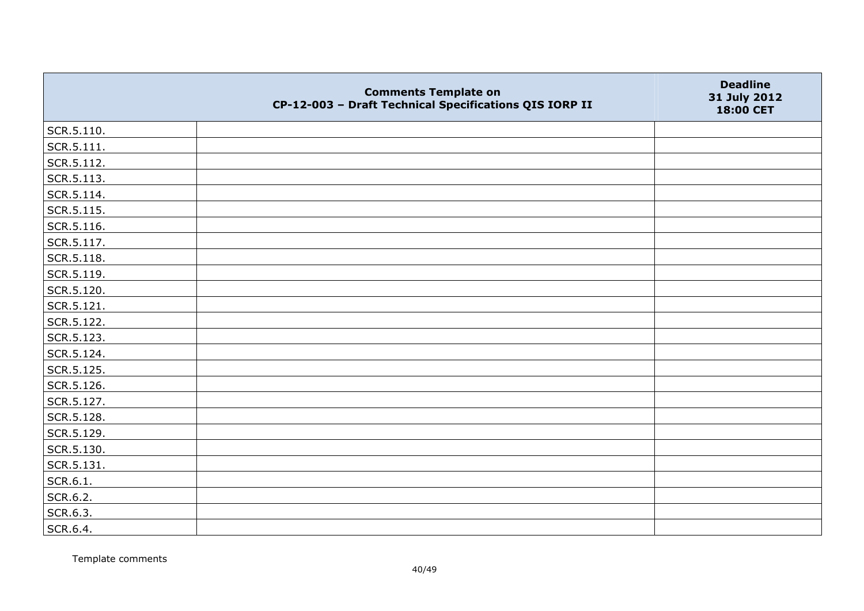|            | <b>Comments Template on</b><br>CP-12-003 - Draft Technical Specifications QIS IORP II | <b>Deadline</b><br>31 July 2012<br>18:00 CET |
|------------|---------------------------------------------------------------------------------------|----------------------------------------------|
| SCR.5.110. |                                                                                       |                                              |
| SCR.5.111. |                                                                                       |                                              |
| SCR.5.112. |                                                                                       |                                              |
| SCR.5.113. |                                                                                       |                                              |
| SCR.5.114. |                                                                                       |                                              |
| SCR.5.115. |                                                                                       |                                              |
| SCR.5.116. |                                                                                       |                                              |
| SCR.5.117. |                                                                                       |                                              |
| SCR.5.118. |                                                                                       |                                              |
| SCR.5.119. |                                                                                       |                                              |
| SCR.5.120. |                                                                                       |                                              |
| SCR.5.121. |                                                                                       |                                              |
| SCR.5.122. |                                                                                       |                                              |
| SCR.5.123. |                                                                                       |                                              |
| SCR.5.124. |                                                                                       |                                              |
| SCR.5.125. |                                                                                       |                                              |
| SCR.5.126. |                                                                                       |                                              |
| SCR.5.127. |                                                                                       |                                              |
| SCR.5.128. |                                                                                       |                                              |
| SCR.5.129. |                                                                                       |                                              |
| SCR.5.130. |                                                                                       |                                              |
| SCR.5.131. |                                                                                       |                                              |
| SCR.6.1.   |                                                                                       |                                              |
| SCR.6.2.   |                                                                                       |                                              |
| SCR.6.3.   |                                                                                       |                                              |
| SCR.6.4.   |                                                                                       |                                              |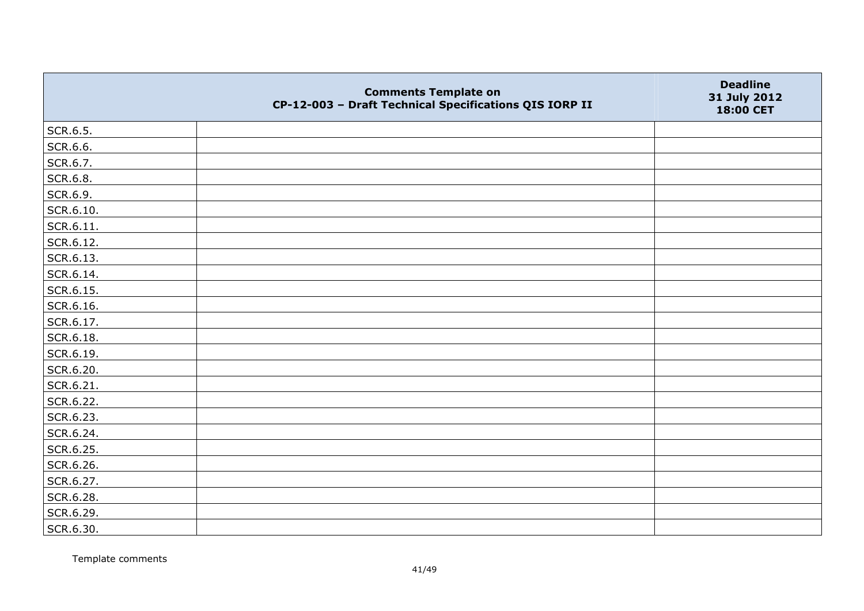|           | <b>Comments Template on</b><br>CP-12-003 - Draft Technical Specifications QIS IORP II | <b>Deadline</b><br>31 July 2012<br>18:00 CET |
|-----------|---------------------------------------------------------------------------------------|----------------------------------------------|
| SCR.6.5.  |                                                                                       |                                              |
| SCR.6.6.  |                                                                                       |                                              |
| SCR.6.7.  |                                                                                       |                                              |
| SCR.6.8.  |                                                                                       |                                              |
| SCR.6.9.  |                                                                                       |                                              |
| SCR.6.10. |                                                                                       |                                              |
| SCR.6.11. |                                                                                       |                                              |
| SCR.6.12. |                                                                                       |                                              |
| SCR.6.13. |                                                                                       |                                              |
| SCR.6.14. |                                                                                       |                                              |
| SCR.6.15. |                                                                                       |                                              |
| SCR.6.16. |                                                                                       |                                              |
| SCR.6.17. |                                                                                       |                                              |
| SCR.6.18. |                                                                                       |                                              |
| SCR.6.19. |                                                                                       |                                              |
| SCR.6.20. |                                                                                       |                                              |
| SCR.6.21. |                                                                                       |                                              |
| SCR.6.22. |                                                                                       |                                              |
| SCR.6.23. |                                                                                       |                                              |
| SCR.6.24. |                                                                                       |                                              |
| SCR.6.25. |                                                                                       |                                              |
| SCR.6.26. |                                                                                       |                                              |
| SCR.6.27. |                                                                                       |                                              |
| SCR.6.28. |                                                                                       |                                              |
| SCR.6.29. |                                                                                       |                                              |
| SCR.6.30. |                                                                                       |                                              |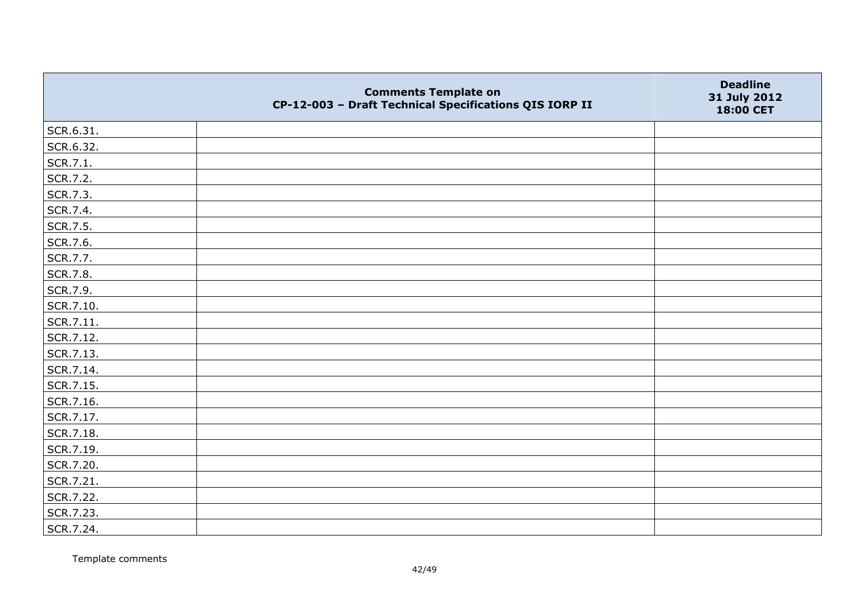|           | <b>Comments Template on</b><br>CP-12-003 - Draft Technical Specifications QIS IORP II | <b>Deadline</b><br>31 July 2012<br>18:00 CET |
|-----------|---------------------------------------------------------------------------------------|----------------------------------------------|
| SCR.6.31. |                                                                                       |                                              |
| SCR.6.32. |                                                                                       |                                              |
| SCR.7.1.  |                                                                                       |                                              |
| SCR.7.2.  |                                                                                       |                                              |
| SCR.7.3.  |                                                                                       |                                              |
| SCR.7.4.  |                                                                                       |                                              |
| SCR.7.5.  |                                                                                       |                                              |
| SCR.7.6.  |                                                                                       |                                              |
| SCR.7.7.  |                                                                                       |                                              |
| SCR.7.8.  |                                                                                       |                                              |
| SCR.7.9.  |                                                                                       |                                              |
| SCR.7.10. |                                                                                       |                                              |
| SCR.7.11. |                                                                                       |                                              |
| SCR.7.12. |                                                                                       |                                              |
| SCR.7.13. |                                                                                       |                                              |
| SCR.7.14. |                                                                                       |                                              |
| SCR.7.15. |                                                                                       |                                              |
| SCR.7.16. |                                                                                       |                                              |
| SCR.7.17. |                                                                                       |                                              |
| SCR.7.18. |                                                                                       |                                              |
| SCR.7.19. |                                                                                       |                                              |
| SCR.7.20. |                                                                                       |                                              |
| SCR.7.21. |                                                                                       |                                              |
| SCR.7.22. |                                                                                       |                                              |
| SCR.7.23. |                                                                                       |                                              |
| SCR.7.24. |                                                                                       |                                              |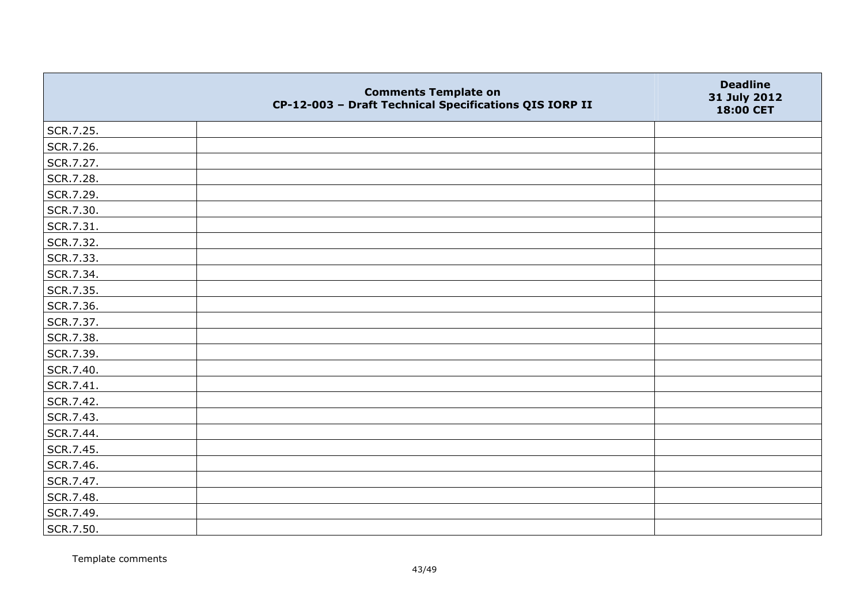|           | <b>Comments Template on</b><br>CP-12-003 - Draft Technical Specifications QIS IORP II | <b>Deadline</b><br>31 July 2012<br>18:00 CET |
|-----------|---------------------------------------------------------------------------------------|----------------------------------------------|
| SCR.7.25. |                                                                                       |                                              |
| SCR.7.26. |                                                                                       |                                              |
| SCR.7.27. |                                                                                       |                                              |
| SCR.7.28. |                                                                                       |                                              |
| SCR.7.29. |                                                                                       |                                              |
| SCR.7.30. |                                                                                       |                                              |
| SCR.7.31. |                                                                                       |                                              |
| SCR.7.32. |                                                                                       |                                              |
| SCR.7.33. |                                                                                       |                                              |
| SCR.7.34. |                                                                                       |                                              |
| SCR.7.35. |                                                                                       |                                              |
| SCR.7.36. |                                                                                       |                                              |
| SCR.7.37. |                                                                                       |                                              |
| SCR.7.38. |                                                                                       |                                              |
| SCR.7.39. |                                                                                       |                                              |
| SCR.7.40. |                                                                                       |                                              |
| SCR.7.41. |                                                                                       |                                              |
| SCR.7.42. |                                                                                       |                                              |
| SCR.7.43. |                                                                                       |                                              |
| SCR.7.44. |                                                                                       |                                              |
| SCR.7.45. |                                                                                       |                                              |
| SCR.7.46. |                                                                                       |                                              |
| SCR.7.47. |                                                                                       |                                              |
| SCR.7.48. |                                                                                       |                                              |
| SCR.7.49. |                                                                                       |                                              |
| SCR.7.50. |                                                                                       |                                              |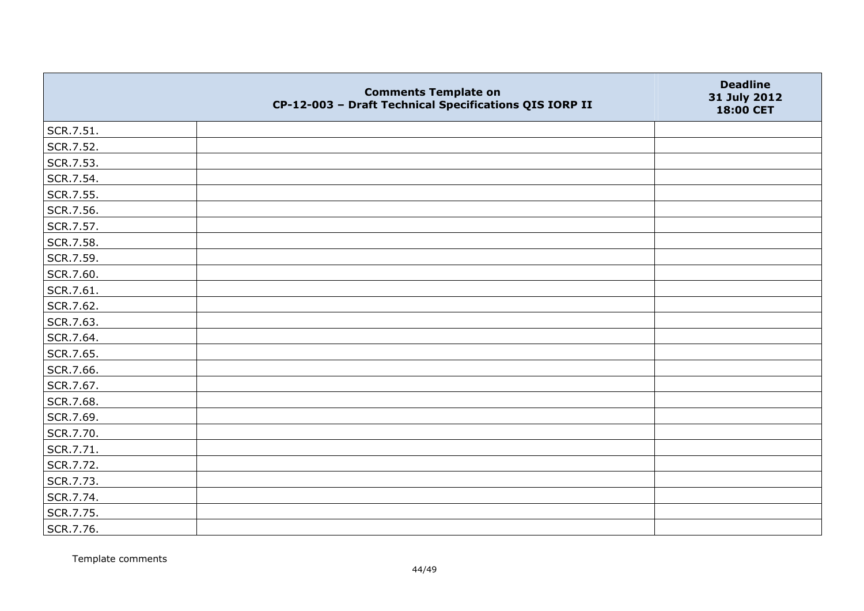|           | <b>Comments Template on</b><br>CP-12-003 - Draft Technical Specifications QIS IORP II | <b>Deadline</b><br>31 July 2012<br>18:00 CET |
|-----------|---------------------------------------------------------------------------------------|----------------------------------------------|
| SCR.7.51. |                                                                                       |                                              |
| SCR.7.52. |                                                                                       |                                              |
| SCR.7.53. |                                                                                       |                                              |
| SCR.7.54. |                                                                                       |                                              |
| SCR.7.55. |                                                                                       |                                              |
| SCR.7.56. |                                                                                       |                                              |
| SCR.7.57. |                                                                                       |                                              |
| SCR.7.58. |                                                                                       |                                              |
| SCR.7.59. |                                                                                       |                                              |
| SCR.7.60. |                                                                                       |                                              |
| SCR.7.61. |                                                                                       |                                              |
| SCR.7.62. |                                                                                       |                                              |
| SCR.7.63. |                                                                                       |                                              |
| SCR.7.64. |                                                                                       |                                              |
| SCR.7.65. |                                                                                       |                                              |
| SCR.7.66. |                                                                                       |                                              |
| SCR.7.67. |                                                                                       |                                              |
| SCR.7.68. |                                                                                       |                                              |
| SCR.7.69. |                                                                                       |                                              |
| SCR.7.70. |                                                                                       |                                              |
| SCR.7.71. |                                                                                       |                                              |
| SCR.7.72. |                                                                                       |                                              |
| SCR.7.73. |                                                                                       |                                              |
| SCR.7.74. |                                                                                       |                                              |
| SCR.7.75. |                                                                                       |                                              |
| SCR.7.76. |                                                                                       |                                              |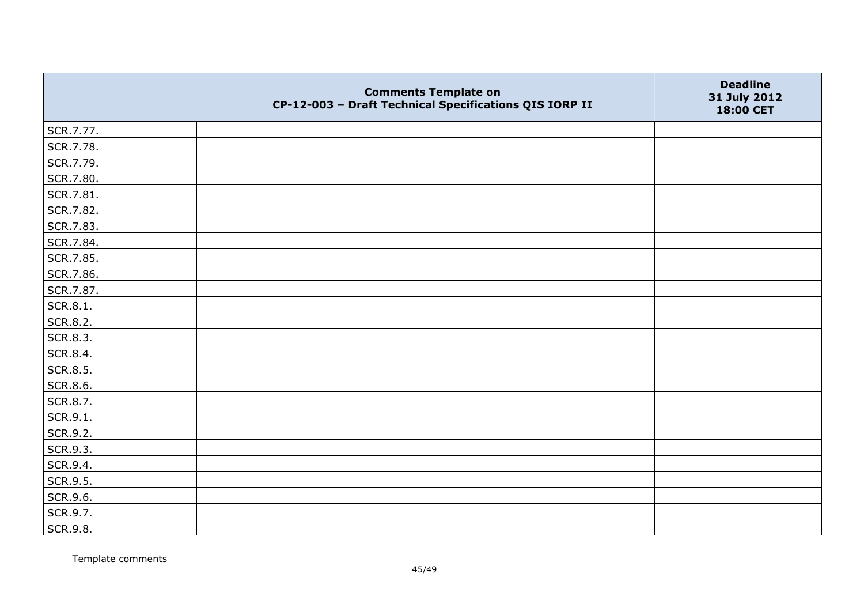|           | <b>Comments Template on</b><br>CP-12-003 - Draft Technical Specifications QIS IORP II | <b>Deadline</b><br>31 July 2012<br>18:00 CET |
|-----------|---------------------------------------------------------------------------------------|----------------------------------------------|
| SCR.7.77. |                                                                                       |                                              |
| SCR.7.78. |                                                                                       |                                              |
| SCR.7.79. |                                                                                       |                                              |
| SCR.7.80. |                                                                                       |                                              |
| SCR.7.81. |                                                                                       |                                              |
| SCR.7.82. |                                                                                       |                                              |
| SCR.7.83. |                                                                                       |                                              |
| SCR.7.84. |                                                                                       |                                              |
| SCR.7.85. |                                                                                       |                                              |
| SCR.7.86. |                                                                                       |                                              |
| SCR.7.87. |                                                                                       |                                              |
| SCR.8.1.  |                                                                                       |                                              |
| SCR.8.2.  |                                                                                       |                                              |
| SCR.8.3.  |                                                                                       |                                              |
| SCR.8.4.  |                                                                                       |                                              |
| SCR.8.5.  |                                                                                       |                                              |
| SCR.8.6.  |                                                                                       |                                              |
| SCR.8.7.  |                                                                                       |                                              |
| SCR.9.1.  |                                                                                       |                                              |
| SCR.9.2.  |                                                                                       |                                              |
| SCR.9.3.  |                                                                                       |                                              |
| SCR.9.4.  |                                                                                       |                                              |
| SCR.9.5.  |                                                                                       |                                              |
| SCR.9.6.  |                                                                                       |                                              |
| SCR.9.7.  |                                                                                       |                                              |
| SCR.9.8.  |                                                                                       |                                              |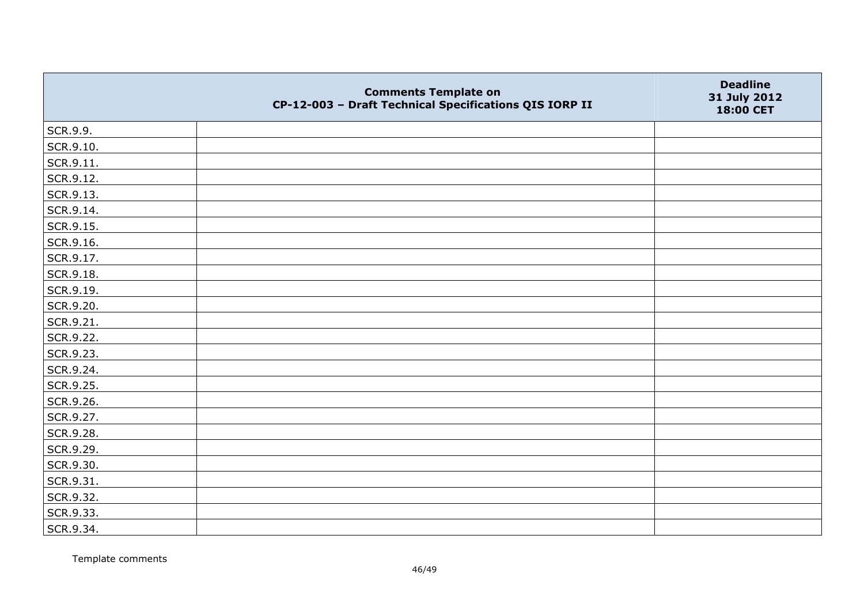|               | <b>Comments Template on</b><br>CP-12-003 - Draft Technical Specifications QIS IORP II | <b>Deadline</b><br>31 July 2012<br>18:00 CET |
|---------------|---------------------------------------------------------------------------------------|----------------------------------------------|
| SCR.9.9.      |                                                                                       |                                              |
| SCR.9.10.     |                                                                                       |                                              |
| $ $ SCR.9.11. |                                                                                       |                                              |
| SCR.9.12.     |                                                                                       |                                              |
| SCR.9.13.     |                                                                                       |                                              |
| SCR.9.14.     |                                                                                       |                                              |
| SCR.9.15.     |                                                                                       |                                              |
| SCR.9.16.     |                                                                                       |                                              |
| SCR.9.17.     |                                                                                       |                                              |
| SCR.9.18.     |                                                                                       |                                              |
| SCR.9.19.     |                                                                                       |                                              |
| SCR.9.20.     |                                                                                       |                                              |
| SCR.9.21.     |                                                                                       |                                              |
| SCR.9.22.     |                                                                                       |                                              |
| SCR.9.23.     |                                                                                       |                                              |
| SCR.9.24.     |                                                                                       |                                              |
| SCR.9.25.     |                                                                                       |                                              |
| SCR.9.26.     |                                                                                       |                                              |
| SCR.9.27.     |                                                                                       |                                              |
| SCR.9.28.     |                                                                                       |                                              |
| SCR.9.29.     |                                                                                       |                                              |
| SCR.9.30.     |                                                                                       |                                              |
| SCR.9.31.     |                                                                                       |                                              |
| SCR.9.32.     |                                                                                       |                                              |
| SCR.9.33.     |                                                                                       |                                              |
| SCR.9.34.     |                                                                                       |                                              |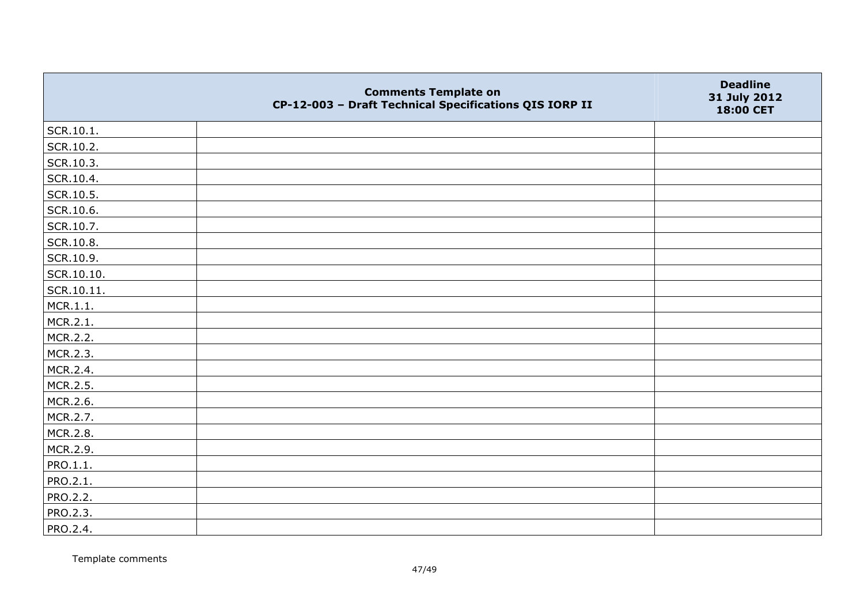|            | <b>Comments Template on</b><br>CP-12-003 - Draft Technical Specifications QIS IORP II | <b>Deadline</b><br>31 July 2012<br>18:00 CET |
|------------|---------------------------------------------------------------------------------------|----------------------------------------------|
| SCR.10.1.  |                                                                                       |                                              |
| SCR.10.2.  |                                                                                       |                                              |
| SCR.10.3.  |                                                                                       |                                              |
| SCR.10.4.  |                                                                                       |                                              |
| SCR.10.5.  |                                                                                       |                                              |
| SCR.10.6.  |                                                                                       |                                              |
| SCR.10.7.  |                                                                                       |                                              |
| SCR.10.8.  |                                                                                       |                                              |
| SCR.10.9.  |                                                                                       |                                              |
| SCR.10.10. |                                                                                       |                                              |
| SCR.10.11. |                                                                                       |                                              |
| MCR.1.1.   |                                                                                       |                                              |
| MCR.2.1.   |                                                                                       |                                              |
| MCR.2.2.   |                                                                                       |                                              |
| MCR.2.3.   |                                                                                       |                                              |
| MCR.2.4.   |                                                                                       |                                              |
| MCR.2.5.   |                                                                                       |                                              |
| MCR.2.6.   |                                                                                       |                                              |
| MCR.2.7.   |                                                                                       |                                              |
| MCR.2.8.   |                                                                                       |                                              |
| MCR.2.9.   |                                                                                       |                                              |
| PRO.1.1.   |                                                                                       |                                              |
| PRO.2.1.   |                                                                                       |                                              |
| PRO.2.2.   |                                                                                       |                                              |
| PRO.2.3.   |                                                                                       |                                              |
| PRO.2.4.   |                                                                                       |                                              |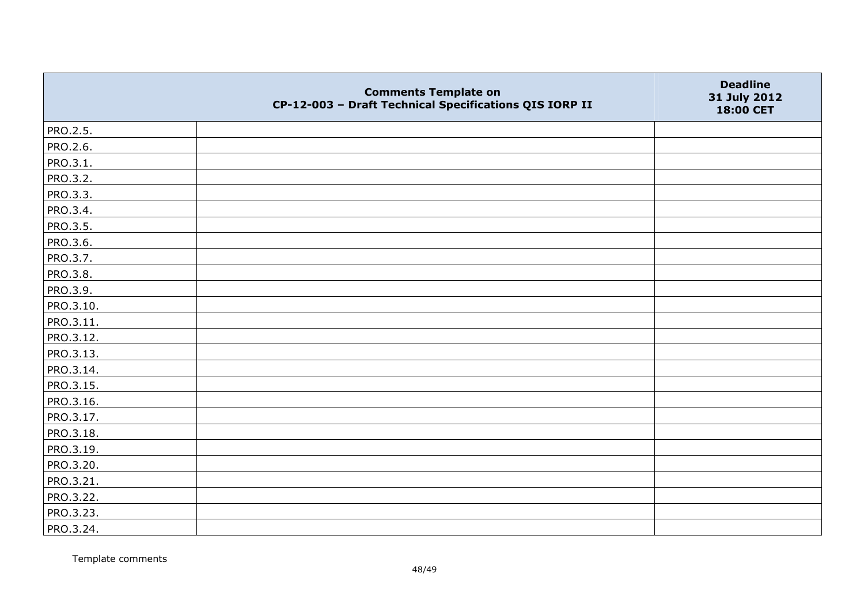|           | <b>Comments Template on</b><br>CP-12-003 - Draft Technical Specifications QIS IORP II | <b>Deadline</b><br>31 July 2012<br>18:00 CET |
|-----------|---------------------------------------------------------------------------------------|----------------------------------------------|
| PRO.2.5.  |                                                                                       |                                              |
| PRO.2.6.  |                                                                                       |                                              |
| PRO.3.1.  |                                                                                       |                                              |
| PRO.3.2.  |                                                                                       |                                              |
| PRO.3.3.  |                                                                                       |                                              |
| PRO.3.4.  |                                                                                       |                                              |
| PRO.3.5.  |                                                                                       |                                              |
| PRO.3.6.  |                                                                                       |                                              |
| PRO.3.7.  |                                                                                       |                                              |
| PRO.3.8.  |                                                                                       |                                              |
| PRO.3.9.  |                                                                                       |                                              |
| PRO.3.10. |                                                                                       |                                              |
| PRO.3.11. |                                                                                       |                                              |
| PRO.3.12. |                                                                                       |                                              |
| PRO.3.13. |                                                                                       |                                              |
| PRO.3.14. |                                                                                       |                                              |
| PRO.3.15. |                                                                                       |                                              |
| PRO.3.16. |                                                                                       |                                              |
| PRO.3.17. |                                                                                       |                                              |
| PRO.3.18. |                                                                                       |                                              |
| PRO.3.19. |                                                                                       |                                              |
| PRO.3.20. |                                                                                       |                                              |
| PRO.3.21. |                                                                                       |                                              |
| PRO.3.22. |                                                                                       |                                              |
| PRO.3.23. |                                                                                       |                                              |
| PRO.3.24. |                                                                                       |                                              |